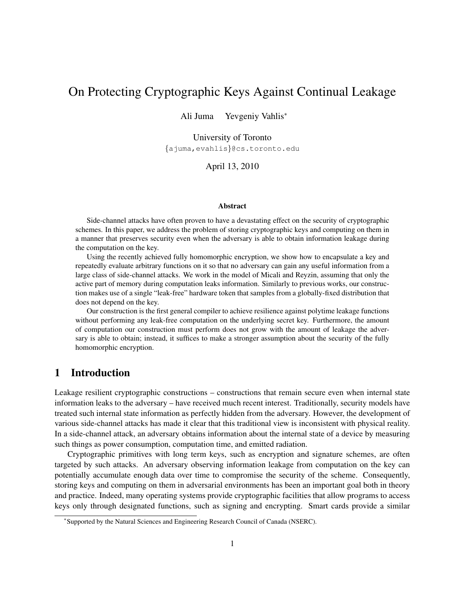# On Protecting Cryptographic Keys Against Continual Leakage

Ali Juma Yevgeniy Vahlis<sup>∗</sup>

University of Toronto {ajuma,evahlis}@cs.toronto.edu

April 13, 2010

#### Abstract

Side-channel attacks have often proven to have a devastating effect on the security of cryptographic schemes. In this paper, we address the problem of storing cryptographic keys and computing on them in a manner that preserves security even when the adversary is able to obtain information leakage during the computation on the key.

Using the recently achieved fully homomorphic encryption, we show how to encapsulate a key and repeatedly evaluate arbitrary functions on it so that no adversary can gain any useful information from a large class of side-channel attacks. We work in the model of Micali and Reyzin, assuming that only the active part of memory during computation leaks information. Similarly to previous works, our construction makes use of a single "leak-free" hardware token that samples from a globally-fixed distribution that does not depend on the key.

Our construction is the first general compiler to achieve resilience against polytime leakage functions without performing any leak-free computation on the underlying secret key. Furthermore, the amount of computation our construction must perform does not grow with the amount of leakage the adversary is able to obtain; instead, it suffices to make a stronger assumption about the security of the fully homomorphic encryption.

# 1 Introduction

Leakage resilient cryptographic constructions – constructions that remain secure even when internal state information leaks to the adversary – have received much recent interest. Traditionally, security models have treated such internal state information as perfectly hidden from the adversary. However, the development of various side-channel attacks has made it clear that this traditional view is inconsistent with physical reality. In a side-channel attack, an adversary obtains information about the internal state of a device by measuring such things as power consumption, computation time, and emitted radiation.

Cryptographic primitives with long term keys, such as encryption and signature schemes, are often targeted by such attacks. An adversary observing information leakage from computation on the key can potentially accumulate enough data over time to compromise the security of the scheme. Consequently, storing keys and computing on them in adversarial environments has been an important goal both in theory and practice. Indeed, many operating systems provide cryptographic facilities that allow programs to access keys only through designated functions, such as signing and encrypting. Smart cards provide a similar

<sup>∗</sup> Supported by the Natural Sciences and Engineering Research Council of Canada (NSERC).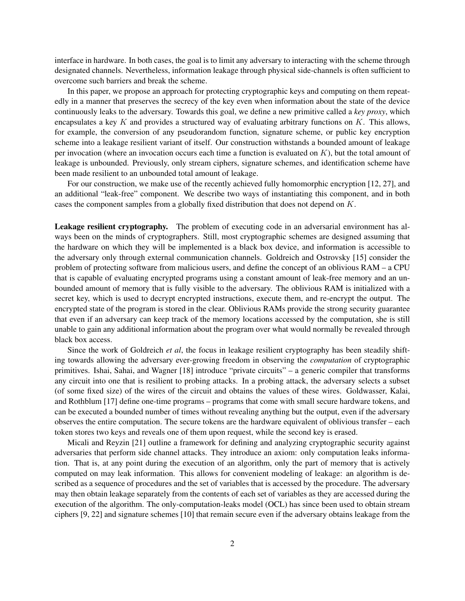interface in hardware. In both cases, the goal is to limit any adversary to interacting with the scheme through designated channels. Nevertheless, information leakage through physical side-channels is often sufficient to overcome such barriers and break the scheme.

In this paper, we propose an approach for protecting cryptographic keys and computing on them repeatedly in a manner that preserves the secrecy of the key even when information about the state of the device continuously leaks to the adversary. Towards this goal, we define a new primitive called a *key proxy*, which encapsulates a key K and provides a structured way of evaluating arbitrary functions on K. This allows, for example, the conversion of any pseudorandom function, signature scheme, or public key encryption scheme into a leakage resilient variant of itself. Our construction withstands a bounded amount of leakage per invocation (where an invocation occurs each time a function is evaluated on  $K$ ), but the total amount of leakage is unbounded. Previously, only stream ciphers, signature schemes, and identification scheme have been made resilient to an unbounded total amount of leakage.

For our construction, we make use of the recently achieved fully homomorphic encryption [\[12,](#page-13-0) [27\]](#page-14-0), and an additional "leak-free" component. We describe two ways of instantiating this component, and in both cases the component samples from a globally fixed distribution that does not depend on K.

Leakage resilient cryptography. The problem of executing code in an adversarial environment has always been on the minds of cryptographers. Still, most cryptographic schemes are designed assuming that the hardware on which they will be implemented is a black box device, and information is accessible to the adversary only through external communication channels. Goldreich and Ostrovsky [\[15\]](#page-14-1) consider the problem of protecting software from malicious users, and define the concept of an oblivious RAM – a CPU that is capable of evaluating encrypted programs using a constant amount of leak-free memory and an unbounded amount of memory that is fully visible to the adversary. The oblivious RAM is initialized with a secret key, which is used to decrypt encrypted instructions, execute them, and re-encrypt the output. The encrypted state of the program is stored in the clear. Oblivious RAMs provide the strong security guarantee that even if an adversary can keep track of the memory locations accessed by the computation, she is still unable to gain any additional information about the program over what would normally be revealed through black box access.

Since the work of Goldreich *et al*, the focus in leakage resilient cryptography has been steadily shifting towards allowing the adversary ever-growing freedom in observing the *computation* of cryptographic primitives. Ishai, Sahai, and Wagner [\[18\]](#page-14-2) introduce "private circuits" – a generic compiler that transforms any circuit into one that is resilient to probing attacks. In a probing attack, the adversary selects a subset (of some fixed size) of the wires of the circuit and obtains the values of these wires. Goldwasser, Kalai, and Rothblum [\[17\]](#page-14-3) define one-time programs – programs that come with small secure hardware tokens, and can be executed a bounded number of times without revealing anything but the output, even if the adversary observes the entire computation. The secure tokens are the hardware equivalent of oblivious transfer – each token stores two keys and reveals one of them upon request, while the second key is erased.

Micali and Reyzin [\[21\]](#page-14-4) outline a framework for defining and analyzing cryptographic security against adversaries that perform side channel attacks. They introduce an axiom: only computation leaks information. That is, at any point during the execution of an algorithm, only the part of memory that is actively computed on may leak information. This allows for convenient modeling of leakage: an algorithm is described as a sequence of procedures and the set of variables that is accessed by the procedure. The adversary may then obtain leakage separately from the contents of each set of variables as they are accessed during the execution of the algorithm. The only-computation-leaks model (OCL) has since been used to obtain stream ciphers [\[9,](#page-13-1) [22\]](#page-14-5) and signature schemes [\[10\]](#page-13-2) that remain secure even if the adversary obtains leakage from the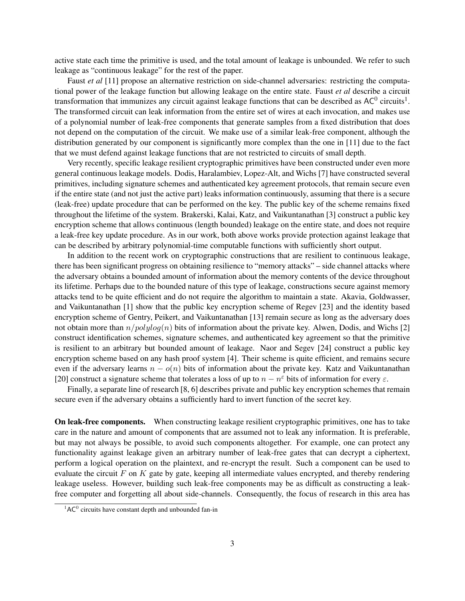active state each time the primitive is used, and the total amount of leakage is unbounded. We refer to such leakage as "continuous leakage" for the rest of the paper.

Faust *et al* [\[11\]](#page-13-3) propose an alternative restriction on side-channel adversaries: restricting the computational power of the leakage function but allowing leakage on the entire state. Faust *et al* describe a circuit transformation that immunizes any circuit against leakage functions that can be described as  $AC^0$  circuits<sup>[1](#page-2-0)</sup>. The transformed circuit can leak information from the entire set of wires at each invocation, and makes use of a polynomial number of leak-free components that generate samples from a fixed distribution that does not depend on the computation of the circuit. We make use of a similar leak-free component, although the distribution generated by our component is significantly more complex than the one in [\[11\]](#page-13-3) due to the fact that we must defend against leakage functions that are not restricted to circuits of small depth.

Very recently, specific leakage resilient cryptographic primitives have been constructed under even more general continuous leakage models. Dodis, Haralambiev, Lopez-Alt, and Wichs [\[7\]](#page-13-4) have constructed several primitives, including signature schemes and authenticated key agreement protocols, that remain secure even if the entire state (and not just the active part) leaks information continuously, assuming that there is a secure (leak-free) update procedure that can be performed on the key. The public key of the scheme remains fixed throughout the lifetime of the system. Brakerski, Kalai, Katz, and Vaikuntanathan [\[3\]](#page-13-5) construct a public key encryption scheme that allows continuous (length bounded) leakage on the entire state, and does not require a leak-free key update procedure. As in our work, both above works provide protection against leakage that can be described by arbitrary polynomial-time computable functions with sufficiently short output.

In addition to the recent work on cryptographic constructions that are resilient to continuous leakage, there has been significant progress on obtaining resilience to "memory attacks" – side channel attacks where the adversary obtains a bounded amount of information about the memory contents of the device throughout its lifetime. Perhaps due to the bounded nature of this type of leakage, constructions secure against memory attacks tend to be quite efficient and do not require the algorithm to maintain a state. Akavia, Goldwasser, and Vaikuntanathan [\[1\]](#page-13-6) show that the public key encryption scheme of Regev [\[23\]](#page-14-6) and the identity based encryption scheme of Gentry, Peikert, and Vaikuntanathan [\[13\]](#page-13-7) remain secure as long as the adversary does not obtain more than  $n/polylog(n)$  bits of information about the private key. Alwen, Dodis, and Wichs [\[2\]](#page-13-8) construct identification schemes, signature schemes, and authenticated key agreement so that the primitive is resilient to an arbitrary but bounded amount of leakage. Naor and Segev [\[24\]](#page-14-7) construct a public key encryption scheme based on any hash proof system [\[4\]](#page-13-9). Their scheme is quite efficient, and remains secure even if the adversary learns  $n - o(n)$  bits of information about the private key. Katz and Vaikuntanathan [\[20\]](#page-14-8) construct a signature scheme that tolerates a loss of up to  $n - n^{\epsilon}$  bits of information for every  $\varepsilon$ .

Finally, a separate line of research [\[8,](#page-13-10) [6\]](#page-13-11) describes private and public key encryption schemes that remain secure even if the adversary obtains a sufficiently hard to invert function of the secret key.

On leak-free components. When constructing leakage resilient cryptographic primitives, one has to take care in the nature and amount of components that are assumed not to leak any information. It is preferable, but may not always be possible, to avoid such components altogether. For example, one can protect any functionality against leakage given an arbitrary number of leak-free gates that can decrypt a ciphertext, perform a logical operation on the plaintext, and re-encrypt the result. Such a component can be used to evaluate the circuit  $F$  on  $K$  gate by gate, keeping all intermediate values encrypted, and thereby rendering leakage useless. However, building such leak-free components may be as difficult as constructing a leakfree computer and forgetting all about side-channels. Consequently, the focus of research in this area has

<span id="page-2-0"></span> ${}^{1}$ AC<sup>0</sup> circuits have constant depth and unbounded fan-in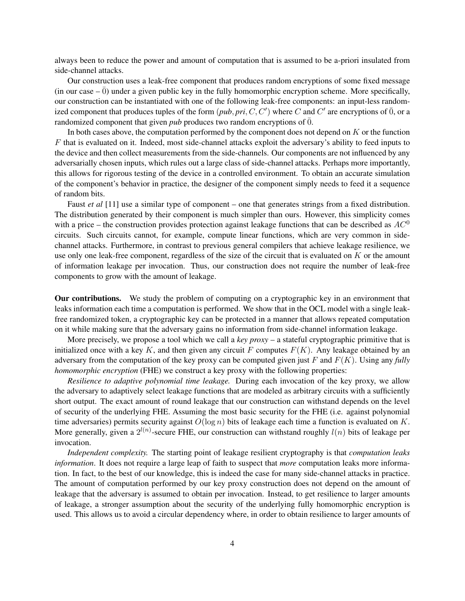always been to reduce the power and amount of computation that is assumed to be a-priori insulated from side-channel attacks.

Our construction uses a leak-free component that produces random encryptions of some fixed message (in our case  $\overline{-0}$ ) under a given public key in the fully homomorphic encryption scheme. More specifically, our construction can be instantiated with one of the following leak-free components: an input-less randomized component that produces tuples of the form  $(pub, pri, C, C')$  where C and C' are encryptions of  $\bar{0}$ , or a randomized component that given *pub* produces two random encryptions of  $\overline{0}$ .

In both cases above, the computation performed by the component does not depend on  $K$  or the function F that is evaluated on it. Indeed, most side-channel attacks exploit the adversary's ability to feed inputs to the device and then collect measurements from the side-channels. Our components are not influenced by any adversarially chosen inputs, which rules out a large class of side-channel attacks. Perhaps more importantly, this allows for rigorous testing of the device in a controlled environment. To obtain an accurate simulation of the component's behavior in practice, the designer of the component simply needs to feed it a sequence of random bits.

Faust *et al* [\[11\]](#page-13-3) use a similar type of component – one that generates strings from a fixed distribution. The distribution generated by their component is much simpler than ours. However, this simplicity comes with a price – the construction provides protection against leakage functions that can be described as  $AC<sup>0</sup>$ circuits. Such circuits cannot, for example, compute linear functions, which are very common in sidechannel attacks. Furthermore, in contrast to previous general compilers that achieve leakage resilience, we use only one leak-free component, regardless of the size of the circuit that is evaluated on  $K$  or the amount of information leakage per invocation. Thus, our construction does not require the number of leak-free components to grow with the amount of leakage.

Our contributions. We study the problem of computing on a cryptographic key in an environment that leaks information each time a computation is performed. We show that in the OCL model with a single leakfree randomized token, a cryptographic key can be protected in a manner that allows repeated computation on it while making sure that the adversary gains no information from side-channel information leakage.

More precisely, we propose a tool which we call a *key proxy* – a stateful cryptographic primitive that is initialized once with a key K, and then given any circuit F computes  $F(K)$ . Any leakage obtained by an adversary from the computation of the key proxy can be computed given just F and  $F(K)$ . Using any *fully homomorphic encryption* (FHE) we construct a key proxy with the following properties:

*Resilience to adaptive polynomial time leakage.* During each invocation of the key proxy, we allow the adversary to adaptively select leakage functions that are modeled as arbitrary circuits with a sufficiently short output. The exact amount of round leakage that our construction can withstand depends on the level of security of the underlying FHE. Assuming the most basic security for the FHE (i.e. against polynomial time adversaries) permits security against  $O(\log n)$  bits of leakage each time a function is evaluated on K. More generally, given a  $2^{l(n)}$ -secure FHE, our construction can withstand roughly  $l(n)$  bits of leakage per invocation.

*Independent complexity.* The starting point of leakage resilient cryptography is that *computation leaks information*. It does not require a large leap of faith to suspect that *more* computation leaks more information. In fact, to the best of our knowledge, this is indeed the case for many side-channel attacks in practice. The amount of computation performed by our key proxy construction does not depend on the amount of leakage that the adversary is assumed to obtain per invocation. Instead, to get resilience to larger amounts of leakage, a stronger assumption about the security of the underlying fully homomorphic encryption is used. This allows us to avoid a circular dependency where, in order to obtain resilience to larger amounts of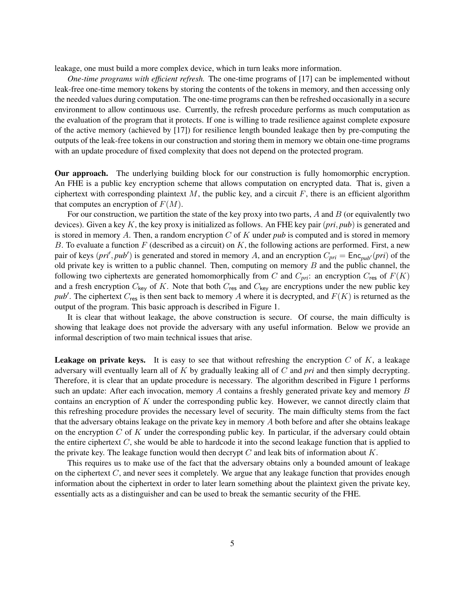leakage, one must build a more complex device, which in turn leaks more information.

*One-time programs with efficient refresh.* The one-time programs of [\[17\]](#page-14-3) can be implemented without leak-free one-time memory tokens by storing the contents of the tokens in memory, and then accessing only the needed values during computation. The one-time programs can then be refreshed occasionally in a secure environment to allow continuous use. Currently, the refresh procedure performs as much computation as the evaluation of the program that it protects. If one is willing to trade resilience against complete exposure of the active memory (achieved by [\[17\]](#page-14-3)) for resilience length bounded leakage then by pre-computing the outputs of the leak-free tokens in our construction and storing them in memory we obtain one-time programs with an update procedure of fixed complexity that does not depend on the protected program.

Our approach. The underlying building block for our construction is fully homomorphic encryption. An FHE is a public key encryption scheme that allows computation on encrypted data. That is, given a ciphertext with corresponding plaintext  $M$ , the public key, and a circuit  $F$ , there is an efficient algorithm that computes an encryption of  $F(M)$ .

For our construction, we partition the state of the key proxy into two parts, A and B (or equivalently two devices). Given a key K, the key proxy is initialized as follows. An FHE key pair (*pri*, *pub*) is generated and is stored in memory A. Then, a random encryption  $C$  of  $K$  under  $pub$  is computed and is stored in memory B. To evaluate a function F (described as a circuit) on K, the following actions are performed. First, a new pair of keys  $(pri', pub')$  is generated and stored in memory A, and an encryption  $C_{pri} = \text{Enc}_{pub'}(pri)$  of the old private key is written to a public channel. Then, computing on memory  $B$  and the public channel, the following two ciphertexts are generated homomorphically from C and  $C_{pri}$ : an encryption  $C_{res}$  of  $F(K)$ and a fresh encryption  $C_{\text{key}}$  of K. Note that both  $C_{\text{res}}$  and  $C_{\text{key}}$  are encryptions under the new public key *pub*<sup> $\prime$ </sup>. The ciphertext  $C_{\text{res}}$  is then sent back to memory A where it is decrypted, and  $F(K)$  is returned as the output of the program. This basic approach is described in [Figure 1.](#page-5-0)

It is clear that without leakage, the above construction is secure. Of course, the main difficulty is showing that leakage does not provide the adversary with any useful information. Below we provide an informal description of two main technical issues that arise.

**Leakage on private keys.** It is easy to see that without refreshing the encryption  $C$  of  $K$ , a leakage adversary will eventually learn all of K by gradually leaking all of C and *pri* and then simply decrypting. Therefore, it is clear that an update procedure is necessary. The algorithm described in [Figure 1](#page-5-0) performs such an update: After each invocation, memory A contains a freshly generated private key and memory B contains an encryption of  $K$  under the corresponding public key. However, we cannot directly claim that this refreshing procedure provides the necessary level of security. The main difficulty stems from the fact that the adversary obtains leakage on the private key in memory A both before and after she obtains leakage on the encryption  $C$  of  $K$  under the corresponding public key. In particular, if the adversary could obtain the entire ciphertext  $C$ , she would be able to hardcode it into the second leakage function that is applied to the private key. The leakage function would then decrypt  $C$  and leak bits of information about  $K$ .

This requires us to make use of the fact that the adversary obtains only a bounded amount of leakage on the ciphertext  $C$ , and never sees it completely. We argue that any leakage function that provides enough information about the ciphertext in order to later learn something about the plaintext given the private key, essentially acts as a distinguisher and can be used to break the semantic security of the FHE.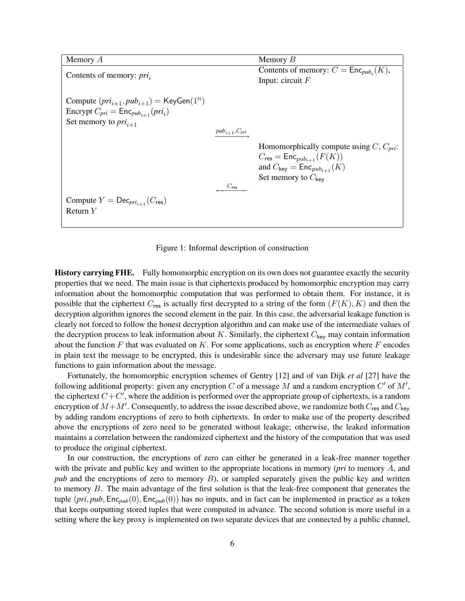| Memory $A$                                                                                                                              |                      | Memory $B$                                                                                                                                                                            |
|-----------------------------------------------------------------------------------------------------------------------------------------|----------------------|---------------------------------------------------------------------------------------------------------------------------------------------------------------------------------------|
| Contents of memory: $pri_i$                                                                                                             |                      | Contents of memory: $C = \text{Enc}_{pub_s}(K)$ ,<br>Input: circuit $F$                                                                                                               |
| Compute $(pri_{i+1}, pub_{i+1}) = \text{KeyGen}(1^n)$<br>Encrypt $C_{pri} = \text{Enc}_{pub_{i+1}}(pri_i)$<br>Set memory to $pri_{i+1}$ |                      |                                                                                                                                                                                       |
|                                                                                                                                         | $pub_{i+1}, C_{pri}$ |                                                                                                                                                                                       |
|                                                                                                                                         | $C_{\mathsf{res}}$   | Homomorphically compute using $C, C_{pri}$ :<br>$C_{\text{res}} = \text{Enc}_{pub_{i+1}}(F(K))$<br>and $C_{\text{kev}} = \text{Enc}_{pub_{i+1}}(K)$<br>Set memory to $C_{\text{kev}}$ |
| Compute $Y = \text{Dec}_{pri_{i+1}}(C_{\text{res}})$<br>Return $Y$                                                                      |                      |                                                                                                                                                                                       |

<span id="page-5-0"></span>Figure 1: Informal description of construction

History carrying FHE. Fully homomorphic encryption on its own does not guarantee exactly the security properties that we need. The main issue is that ciphertexts produced by homomorphic encryption may carry information about the homomorphic computation that was performed to obtain them. For instance, it is possible that the ciphertext  $C_{res}$  is actually first decrypted to a string of the form  $(F(K), K)$  and then the decryption algorithm ignores the second element in the pair. In this case, the adversarial leakage function is clearly not forced to follow the honest decryption algorithm and can make use of the intermediate values of the decryption process to leak information about K. Similarly, the ciphertext  $C_{\text{key}}$  may contain information about the function  $F$  that was evaluated on  $K$ . For some applications, such as encryption where  $F$  encodes in plain text the message to be encrypted, this is undesirable since the adversary may use future leakage functions to gain information about the message.

Fortunately, the homomorphic encryption schemes of Gentry [\[12\]](#page-13-0) and of van Dijk *et al* [\[27\]](#page-14-0) have the following additional property: given any encryption C of a message M and a random encryption C' of M', the ciphertext  $C + C'$ , where the addition is performed over the appropriate group of ciphertexts, is a random encryption of  $M+M'$ . Consequently, to address the issue described above, we randomize both  $C_{\text{res}}$  and  $C_{\text{key}}$ by adding random encryptions of zero to both ciphertexts. In order to make use of the property described above the encryptions of zero need to be generated without leakage; otherwise, the leaked information maintains a correlation between the randomized ciphertext and the history of the computation that was used to produce the original ciphertext.

In our construction, the encryptions of zero can either be generated in a leak-free manner together with the private and public key and written to the appropriate locations in memory (*pri* to memory A, and *pub* and the encryptions of zero to memory B), or sampled separately given the public key and written to memory  $B$ . The main advantage of the first solution is that the leak-free component that generates the tuple (*pri*, *pub*, Enc*pub*(0), Enc*pub*(0)) has no inputs, and in fact can be implemented in practice as a token that keeps outputting stored tuples that were computed in advance. The second solution is more useful in a setting where the key proxy is implemented on two separate devices that are connected by a public channel,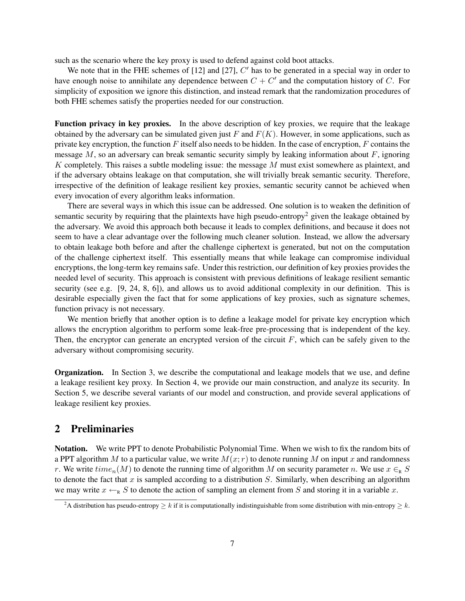such as the scenario where the key proxy is used to defend against cold boot attacks.

We note that in the FHE schemes of  $[12]$  and  $[27]$ ,  $C'$  has to be generated in a special way in order to have enough noise to annihilate any dependence between  $C + C'$  and the computation history of C. For simplicity of exposition we ignore this distinction, and instead remark that the randomization procedures of both FHE schemes satisfy the properties needed for our construction.

Function privacy in key proxies. In the above description of key proxies, we require that the leakage obtained by the adversary can be simulated given just F and  $F(K)$ . However, in some applications, such as private key encryption, the function  $F$  itself also needs to be hidden. In the case of encryption,  $F$  contains the message  $M$ , so an adversary can break semantic security simply by leaking information about  $F$ , ignoring K completely. This raises a subtle modeling issue: the message  $M$  must exist somewhere as plaintext, and if the adversary obtains leakage on that computation, she will trivially break semantic security. Therefore, irrespective of the definition of leakage resilient key proxies, semantic security cannot be achieved when every invocation of every algorithm leaks information.

There are several ways in which this issue can be addressed. One solution is to weaken the definition of semantic security by requiring that the plaintexts have high pseudo-entropy<sup>[2](#page-6-0)</sup> given the leakage obtained by the adversary. We avoid this approach both because it leads to complex definitions, and because it does not seem to have a clear advantage over the following much cleaner solution. Instead, we allow the adversary to obtain leakage both before and after the challenge ciphertext is generated, but not on the computation of the challenge ciphertext itself. This essentially means that while leakage can compromise individual encryptions, the long-term key remains safe. Under this restriction, our definition of key proxies provides the needed level of security. This approach is consistent with previous definitions of leakage resilient semantic security (see e.g. [\[9,](#page-13-1) [24,](#page-14-7) [8,](#page-13-10) [6\]](#page-13-11)), and allows us to avoid additional complexity in our definition. This is desirable especially given the fact that for some applications of key proxies, such as signature schemes, function privacy is not necessary.

We mention briefly that another option is to define a leakage model for private key encryption which allows the encryption algorithm to perform some leak-free pre-processing that is independent of the key. Then, the encryptor can generate an encrypted version of the circuit  $F$ , which can be safely given to the adversary without compromising security.

Organization. In [Section 3,](#page-7-0) we describe the computational and leakage models that we use, and define a leakage resilient key proxy. In [Section 4,](#page-10-0) we provide our main construction, and analyze its security. In [Section 5,](#page-12-0) we describe several variants of our model and construction, and provide several applications of leakage resilient key proxies.

## 2 Preliminaries

Notation. We write PPT to denote Probabilistic Polynomial Time. When we wish to fix the random bits of a PPT algorithm M to a particular value, we write  $M(x; r)$  to denote running M on input x and randomness r. We write  $time_n(M)$  to denote the running time of algorithm M on security parameter n. We use  $x \in_R S$ to denote the fact that  $x$  is sampled according to a distribution  $S$ . Similarly, when describing an algorithm we may write  $x \leftarrow_R S$  to denote the action of sampling an element from S and storing it in a variable x.

<span id="page-6-0"></span><sup>&</sup>lt;sup>2</sup>A distribution has pseudo-entropy  $\geq k$  if it is computationally indistinguishable from some distribution with min-entropy  $\geq k$ .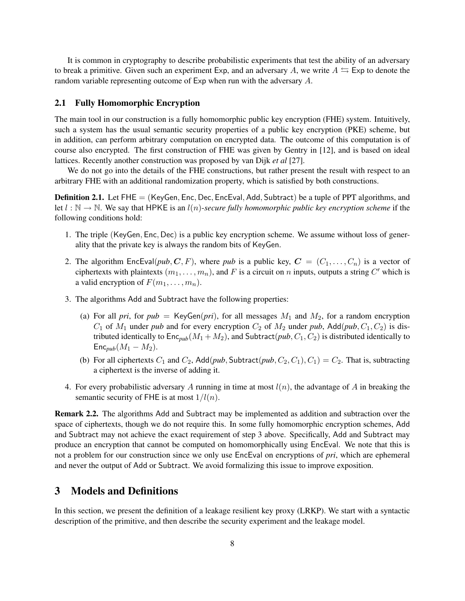It is common in cryptography to describe probabilistic experiments that test the ability of an adversary to break a primitive. Given such an experiment Exp, and an adversary A, we write  $A \leftrightarrows E$ xp to denote the random variable representing outcome of Exp when run with the adversary A.

### 2.1 Fully Homomorphic Encryption

The main tool in our construction is a fully homomorphic public key encryption (FHE) system. Intuitively, such a system has the usual semantic security properties of a public key encryption (PKE) scheme, but in addition, can perform arbitrary computation on encrypted data. The outcome of this computation is of course also encrypted. The first construction of FHE was given by Gentry in [\[12\]](#page-13-0), and is based on ideal lattices. Recently another construction was proposed by van Dijk *et al* [\[27\]](#page-14-0).

We do not go into the details of the FHE constructions, but rather present the result with respect to an arbitrary FHE with an additional randomization property, which is satisfied by both constructions.

**Definition 2.1.** Let FHE = (KeyGen, Enc, Dec, EncEval, Add, Subtract) be a tuple of PPT algorithms, and let  $l : \mathbb{N} \to \mathbb{N}$ . We say that HPKE is an  $l(n)$ -secure fully homomorphic public key encryption scheme if the following conditions hold:

- 1. The triple (KeyGen, Enc, Dec) is a public key encryption scheme. We assume without loss of generality that the private key is always the random bits of KeyGen.
- 2. The algorithm EncEval(*pub*,  $C$ , F), where *pub* is a public key,  $C = (C_1, \ldots, C_n)$  is a vector of ciphertexts with plaintexts  $(m_1, \ldots, m_n)$ , and F is a circuit on n inputs, outputs a string C' which is a valid encryption of  $F(m_1, \ldots, m_n)$ .
- <span id="page-7-1"></span>3. The algorithms Add and Subtract have the following properties:
	- (a) For all *pri*, for  $pub = \text{KeyGen}(pri)$ , for all messages  $M_1$  and  $M_2$ , for a random encryption  $C_1$  of  $M_1$  under *pub* and for every encryption  $C_2$  of  $M_2$  under *pub*, Add(*pub*,  $C_1$ ,  $C_2$ ) is distributed identically to  $\mathsf{Enc}_{pub}(M_1 + M_2)$ , and  $\mathsf{Subtract}(pub, C_1, C_2)$  is distributed identically to  $Enc_{pub}(M_1 - M_2)$ .
	- (b) For all ciphertexts  $C_1$  and  $C_2$ , Add(*pub*, Subtract(*pub*,  $C_2$ ,  $C_1$ ),  $C_1$ ) =  $C_2$ . That is, subtracting a ciphertext is the inverse of adding it.
- 4. For every probabilistic adversary A running in time at most  $l(n)$ , the advantage of A in breaking the semantic security of FHE is at most  $1/l(n)$ .

Remark 2.2. The algorithms Add and Subtract may be implemented as addition and subtraction over the space of ciphertexts, though we do not require this. In some fully homomorphic encryption schemes, Add and Subtract may not achieve the exact requirement of step [3](#page-7-1) above. Specifically, Add and Subtract may produce an encryption that cannot be computed on homomorphically using EncEval. We note that this is not a problem for our construction since we only use EncEval on encryptions of *pri*, which are ephemeral and never the output of Add or Subtract. We avoid formalizing this issue to improve exposition.

## <span id="page-7-0"></span>3 Models and Definitions

In this section, we present the definition of a leakage resilient key proxy (LRKP). We start with a syntactic description of the primitive, and then describe the security experiment and the leakage model.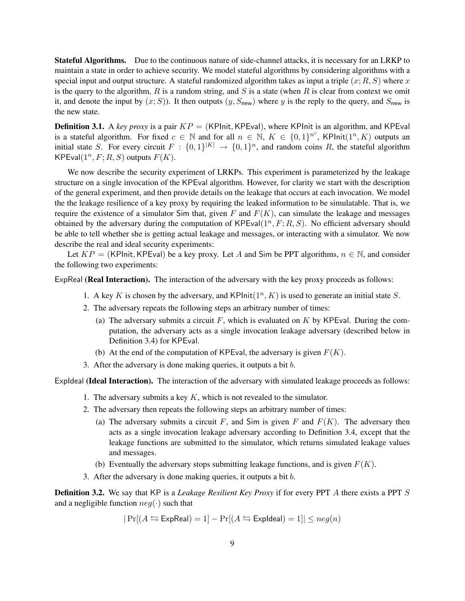Stateful Algorithms. Due to the continuous nature of side-channel attacks, it is necessary for an LRKP to maintain a state in order to achieve security. We model stateful algorithms by considering algorithms with a special input and output structure. A stateful randomized algorithm takes as input a triple  $(x; R, S)$  where x is the query to the algorithm,  $R$  is a random string, and  $S$  is a state (when  $R$  is clear from context we omit it, and denote the input by  $(x; S)$ ). It then outputs  $(y, S_{new})$  where y is the reply to the query, and  $S_{new}$  is the new state.

**Definition 3.1.** A *key proxy* is a pair  $KP = (KPInit, KPEval)$ , where KPInit is an algorithm, and KPEval is a stateful algorithm. For fixed  $c \in \mathbb{N}$  and for all  $n \in \mathbb{N}$ ,  $K \in \{0,1\}^{n^c}$ , KPInit $(1^n, K)$  outputs an initial state S. For every circuit  $F: \{0,1\}^{|K|} \to \{0,1\}^n$ , and random coins R, the stateful algorithm  $\mathsf{KPEval}(1^n, F; R, S)$  outputs  $F(K)$ .

We now describe the security experiment of LRKPs. This experiment is parameterized by the leakage structure on a single invocation of the KPEval algorithm. However, for clarity we start with the description of the general experiment, and then provide details on the leakage that occurs at each invocation. We model the the leakage resilience of a key proxy by requiring the leaked information to be simulatable. That is, we require the existence of a simulator Sim that, given F and  $F(K)$ , can simulate the leakage and messages obtained by the adversary during the computation of  $\mathsf{KPEval}(1^n, F; R, S)$ . No efficient adversary should be able to tell whether she is getting actual leakage and messages, or interacting with a simulator. We now describe the real and ideal security experiments:

Let  $KP = (KPInit, KPEval)$  be a key proxy. Let A and Sim be PPT algorithms,  $n \in \mathbb{N}$ , and consider the following two experiments:

ExpReal (Real Interaction). The interaction of the adversary with the key proxy proceeds as follows:

- 1. A key K is chosen by the adversary, and  $\text{KPlnit}(1^n, K)$  is used to generate an initial state S.
- 2. The adversary repeats the following steps an arbitrary number of times:
	- (a) The adversary submits a circuit  $F$ , which is evaluated on  $K$  by KPEval. During the computation, the adversary acts as a single invocation leakage adversary (described below in [Definition 3.4\)](#page-9-0) for KPEval.
	- (b) At the end of the computation of KPEval, the adversary is given  $F(K)$ .
- 3. After the adversary is done making queries, it outputs a bit b.

ExpIdeal (Ideal Interaction). The interaction of the adversary with simulated leakage proceeds as follows:

- 1. The adversary submits a key  $K$ , which is not revealed to the simulator.
- 2. The adversary then repeats the following steps an arbitrary number of times:
	- (a) The adversary submits a circuit F, and Sim is given F and  $F(K)$ . The adversary then acts as a single invocation leakage adversary according to [Definition 3.4,](#page-9-0) except that the leakage functions are submitted to the simulator, which returns simulated leakage values and messages.
	- (b) Eventually the adversary stops submitting leakage functions, and is given  $F(K)$ .
- 3. After the adversary is done making queries, it outputs a bit b.

<span id="page-8-0"></span>Definition 3.2. We say that KP is a *Leakage Resilient Key Proxy* if for every PPT A there exists a PPT S and a negligible function  $neg(\cdot)$  such that

 $|Pr[(A \leq E\times_R Real) = 1] - Pr[(A \leq E\times_R Ideal) = 1]| \leq neg(n)$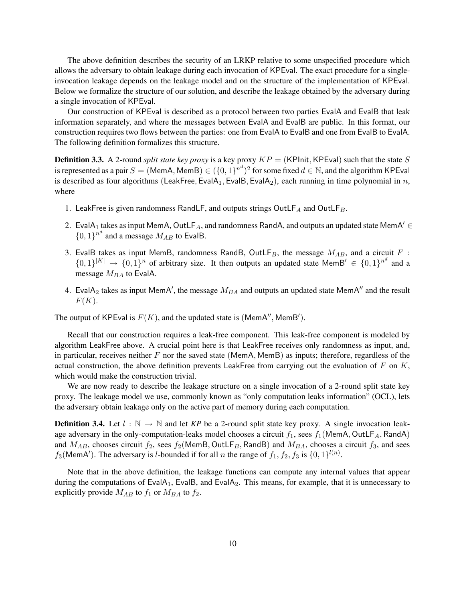The above definition describes the security of an LRKP relative to some unspecified procedure which allows the adversary to obtain leakage during each invocation of KPEval. The exact procedure for a singleinvocation leakage depends on the leakage model and on the structure of the implementation of KPEval. Below we formalize the structure of our solution, and describe the leakage obtained by the adversary during a single invocation of KPEval.

Our construction of KPEval is described as a protocol between two parties EvalA and EvalB that leak information separately, and where the messages between EvalA and EvalB are public. In this format, our construction requires two flows between the parties: one from EvalA to EvalB and one from EvalB to EvalA. The following definition formalizes this structure.

**Definition 3.3.** A 2-round *split state key proxy* is a key proxy  $KP = (KPInit, KPEval)$  such that the state S is represented as a pair  $S = (MemA, MemB) \in (\{0, 1\}^{n^d})^2$  for some fixed  $d \in \mathbb{N}$ , and the algorithm KPEval is described as four algorithms (LeakFree, EvalA<sub>1</sub>, EvalB, EvalA<sub>2</sub>), each running in time polynomial in n, where

- 1. LeakFree is given randomness RandLF, and outputs strings OutLF $_A$  and OutLF $_B$ .
- 2. EvalA<sub>1</sub> takes as input MemA, OutLF<sub>A</sub>, and randomness RandA, and outputs an updated state MemA'  $\in$  $\{0,1\}^{n^d}$  and a message  $M_{AB}$  to EvalB.
- 3. EvalB takes as input MemB, randomness RandB, OutLF<sub>B</sub>, the message  $M_{AB}$ , and a circuit F :  $\{0,1\}^{|K|} \to \{0,1\}^n$  of arbitrary size. It then outputs an updated state MemB'  $\in \{0,1\}^{n^d}$  and a message  $M_{BA}$  to EvalA.
- 4. EvalA<sub>2</sub> takes as input MemA', the message  $M_{BA}$  and outputs an updated state MemA'' and the result  $F(K).$

The output of KPEval is  $F(K)$ , and the updated state is (MemA'', MemB').

Recall that our construction requires a leak-free component. This leak-free component is modeled by algorithm LeakFree above. A crucial point here is that LeakFree receives only randomness as input, and, in particular, receives neither  $F$  nor the saved state (MemA, MemB) as inputs; therefore, regardless of the actual construction, the above definition prevents LeakFree from carrying out the evaluation of  $F$  on  $K$ , which would make the construction trivial.

We are now ready to describe the leakage structure on a single invocation of a 2-round split state key proxy. The leakage model we use, commonly known as "only computation leaks information" (OCL), lets the adversary obtain leakage only on the active part of memory during each computation.

<span id="page-9-0"></span>**Definition 3.4.** Let  $l : \mathbb{N} \to \mathbb{N}$  and let *KP* be a 2-round split state key proxy. A single invocation leakage adversary in the only-computation-leaks model chooses a circuit  $f_1$ , sees  $f_1$ (MemA, OutLF<sub>A</sub>, RandA) and  $M_{AB}$ , chooses circuit  $f_2$ , sees  $f_2$ (MemB, OutLF<sub>B</sub>, RandB) and  $M_{BA}$ , chooses a circuit  $f_3$ , and sees  $f_3$ (MemA'). The adversary is *l*-bounded if for all *n* the range of  $f_1, f_2, f_3$  is  $\{0, 1\}^{l(n)}$ .

Note that in the above definition, the leakage functions can compute any internal values that appear during the computations of EvalA<sub>1</sub>, EvalB, and EvalA<sub>2</sub>. This means, for example, that it is unnecessary to explicitly provide  $M_{AB}$  to  $f_1$  or  $M_{BA}$  to  $f_2$ .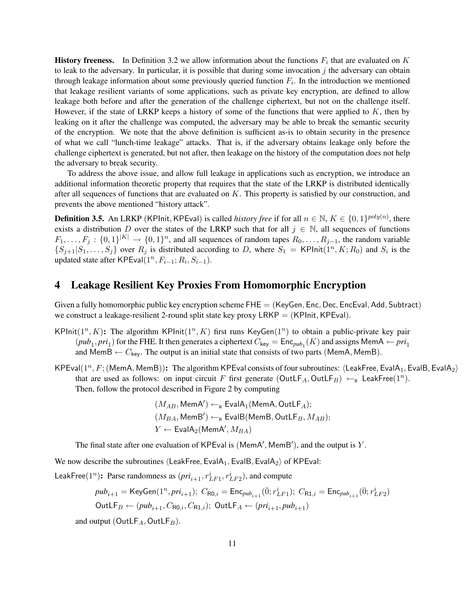**History freeness.** In [Definition 3.2](#page-8-0) we allow information about the functions  $F_i$  that are evaluated on K to leak to the adversary. In particular, it is possible that during some invocation  $j$  the adversary can obtain through leakage information about some previously queried function  $F_i$ . In the introduction we mentioned that leakage resilient variants of some applications, such as private key encryption, are defined to allow leakage both before and after the generation of the challenge ciphertext, but not on the challenge itself. However, if the state of LRKP keeps a history of some of the functions that were applied to  $K$ , then by leaking on it after the challenge was computed, the adversary may be able to break the semantic security of the encryption. We note that the above definition is sufficient as-is to obtain security in the presence of what we call "lunch-time leakage" attacks. That is, if the adversary obtains leakage only before the challenge ciphertext is generated, but not after, then leakage on the history of the computation does not help the adversary to break security.

To address the above issue, and allow full leakage in applications such as encryption, we introduce an additional information theoretic property that requires that the state of the LRKP is distributed identically after all sequences of functions that are evaluated on  $K$ . This property is satisfied by our construction, and prevents the above mentioned "history attack".

<span id="page-10-1"></span>**Definition 3.5.** An LRKP (KPInit, KPEval) is called *history free* if for all  $n \in \mathbb{N}$ ,  $K \in \{0, 1\}^{poly(n)}$ , there exists a distribution D over the states of the LRKP such that for all  $j \in \mathbb{N}$ , all sequences of functions  $F_1, \ldots, F_j : \{0,1\}^{|K|} \to \{0,1\}^n$ , and all sequences of random tapes  $R_0, \ldots, R_{j-1}$ , the random variable  $\{S_{j+1}|S_1,\ldots,S_j\}$  over  $R_j$  is distributed according to D, where  $S_1 = \text{KPlnit}(1^n, K; R_0)$  and  $S_i$  is the updated state after KPEval $(1^n, F_{i-1}; R_i, S_{i-1}).$ 

## <span id="page-10-0"></span>4 Leakage Resilient Key Proxies From Homomorphic Encryption

Given a fully homomorphic public key encryption scheme  $FHE = (KeyGen, Enc, Dec, EncEval, Add, Subtract)$ we construct a leakage-resilient 2-round split state key proxy  $LRKP = (KPInit, KPEval)$ .

- KPInit $(1^n, K)$ : The algorithm KPInit $(1^n, K)$  first runs KeyGen $(1^n)$  to obtain a public-private key pair  $(pub_1, pri_1)$  for the FHE. It then generates a ciphertext  $C_{key} = \text{Enc}_{pub_1}(K)$  and assigns MemA  $\leftarrow pri_1$ and MemB  $\leftarrow C_{\text{kev}}$ . The output is an initial state that consists of two parts (MemA, MemB).
- $\mathsf{KPEval}(1^n, F; (\mathsf{MemA}, \mathsf{MemB}))$ : The algorithm  $\mathsf{KPEval}$  consists of four subroutines:  $\langle \mathsf{LeakFree}, \mathsf{EvalA}_1, \mathsf{EvalB}, \mathsf{EvalA}_2 \rangle$ that are used as follows: on input circuit F first generate  $(OutLF<sub>A</sub>, OutLF<sub>B</sub>) \leftarrow_R LeakFree(1^n)$ . Then, follow the protocol described in [Figure 2](#page-11-0) by computing

 $(M_{AB}, \mathsf{MemA}') \leftarrow_{\mathsf{R}} \mathsf{EvalA}_1(\mathsf{MemA}, \mathsf{OutLF}_A);$  $(M_{BA}, \text{MemB}') \leftarrow_R \text{EvalB}(\text{MemB}, \text{OutLF}_B, M_{AB});$  $Y \leftarrow \mathsf{EvalA}_2(\mathsf{MemA}', M_{BA})$ 

The final state after one evaluation of KPEval is (MemA', MemB'), and the output is  $Y$ .

We now describe the subroutines  $\langle$  LeakFree, EvalA<sub>1</sub>, EvalB, EvalA<sub>2</sub> $\rangle$  of KPEval:

LeakFree $(1^n)$ : Parse randomness as  $(pri_{i+1}, r_{LF1}^i, r_{LF2}^i)$ , and compute

$$
pub_{i+1} = \text{KeyGen}(1^n, pri_{i+1}); C_{R0,i} = \text{Enc}_{pub_{i+1}}(\bar{0}; r^i_{LF1}); C_{R1,i} = \text{Enc}_{pub_{i+1}}(\bar{0}; r^i_{LF2})
$$
  
OutLF<sub>B</sub>  $\leftarrow$  (pub<sub>i+1</sub>, C<sub>R0,i</sub>, C<sub>R1,i</sub>); OutLF<sub>A</sub>  $\leftarrow$  (pri<sub>i+1</sub>, pub<sub>i+1</sub>)

and output (OutLF<sub>A</sub>, OutLF<sub>B</sub>).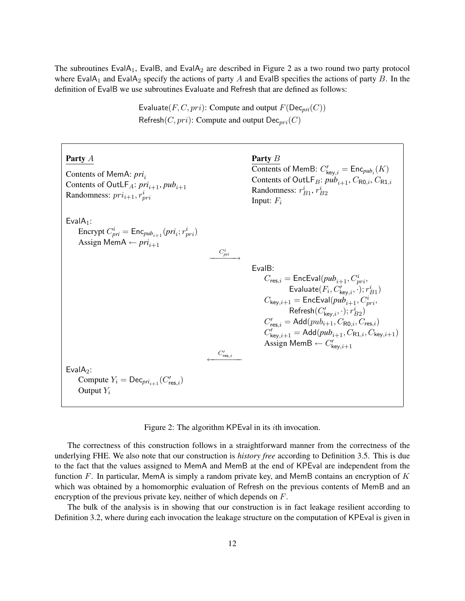The subroutines EvalA<sub>1</sub>, EvalB, and EvalA<sub>2</sub> are described in [Figure 2](#page-11-0) as a two round two party protocol where EvalA<sub>1</sub> and EvalA<sub>2</sub> specify the actions of party A and EvalB specifies the actions of party B. In the definition of EvalB we use subroutines Evaluate and Refresh that are defined as follows:

> Evaluate( $F, C, pri$ ): Compute and output  $F(\mathsf{Dec}_{pri}(C))$ Refresh $(C, pri)$ : Compute and output Dec $_{pri}(C)$

| Party $A$<br>Contents of MemA: <i>pri</i> <sub>i</sub><br>Contents of OutLF <sub>A</sub> : $pri_{i+1}, pub_{i+1}$<br>Randomness: $pri_{i+1}, r_{pri}^i$ |                       | Party $B$<br>Contents of MemB: $C'_{\mathsf{kev},i} = \mathsf{Enc}_{\mathsf{pub}_i}(K)$<br>Contents of OutLF <sub>B</sub> : $pub_{i+1}$ , $C_{R0,i}$ , $C_{R1,i}$<br>Randomness: $r_{B1}^i$ , $r_{B2}^i$<br>Input: $F_i$                                                                                                                                                                                                                                            |
|---------------------------------------------------------------------------------------------------------------------------------------------------------|-----------------------|---------------------------------------------------------------------------------------------------------------------------------------------------------------------------------------------------------------------------------------------------------------------------------------------------------------------------------------------------------------------------------------------------------------------------------------------------------------------|
| Eval $A_1$ :<br>Encrypt $C_{pri}^i = \text{Enc}_{pub_{i+1}}(pri_i; r_{pri}^i)$<br>Assign MemA $\leftarrow pri_{i+1}$                                    | $C_{pri}^i$           | EvalB:                                                                                                                                                                                                                                                                                                                                                                                                                                                              |
|                                                                                                                                                         |                       | $C_{res,i} =$ EncEval $(pub_{i+1}, C_{pri}^i,$<br>Evaluate $(F_i, C'_{\text{kev},i}, \cdot); r^i_{B1})$<br>$C_{\text{key},i+1} = \text{EncEval}(pub_{i+1}, C_{pri}^i)$<br>$\mathsf{Refresh}(C'_{\mathsf{kev},i},\cdot);r^i_{B2})$<br>$C'_{\mathsf{res},i} = \mathsf{Add}(pub_{i+1}, C_{\mathsf{RO},i}, C_{\mathsf{res},i})$<br>$C'_{\text{kev}.i+1} = \text{Add}(pub_{i+1}, C_{\text{R1},i}, C_{\text{key},i+1})$<br>Assign MemB $\leftarrow C'_{\mathbf{kev},i+1}$ |
| Eval $A_2$ :<br>Compute $Y_i = \text{Dec}_{pri_{i+1}}(C'_{res,i})$<br>Output $Y_i$                                                                      | $C'_{\mathsf{res},i}$ |                                                                                                                                                                                                                                                                                                                                                                                                                                                                     |

<span id="page-11-0"></span>Figure 2: The algorithm KPEval in its *i*th invocation.

The correctness of this construction follows in a straightforward manner from the correctness of the underlying FHE. We also note that our construction is *history free* according to [Definition 3.5.](#page-10-1) This is due to the fact that the values assigned to MemA and MemB at the end of KPEval are independent from the function F. In particular, MemA is simply a random private key, and MemB contains an encryption of  $K$ which was obtained by a homomorphic evaluation of Refresh on the previous contents of MemB and an encryption of the previous private key, neither of which depends on F.

The bulk of the analysis is in showing that our construction is in fact leakage resilient according to [Definition 3.2,](#page-8-0) where during each invocation the leakage structure on the computation of KPEval is given in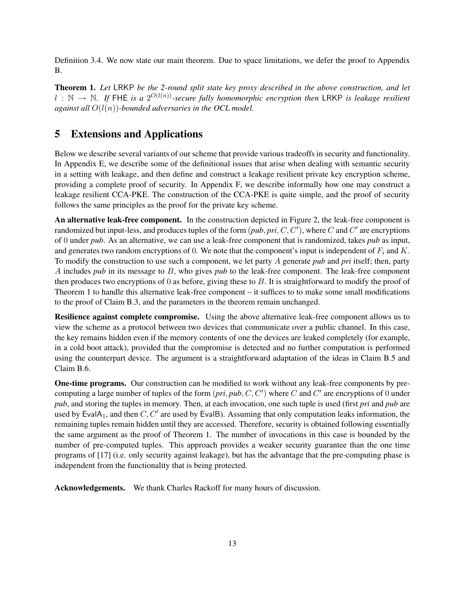[Definition 3.4.](#page-9-0) We now state our main theorem. Due to space limitations, we defer the proof to Appendix [B.](#page-15-0)

<span id="page-12-1"></span>Theorem 1. *Let* LRKP *be the 2-round split state key proxy described in the above construction, and let*  $l : \mathbb{N} \to \mathbb{N}$ . If FHE is a  $2^{O(l(n))}$ -secure fully homomorphic encryption then LRKP is leakage resilient *against all* O(l(n))*-bounded adversaries in the OCL model.*

# <span id="page-12-0"></span>5 Extensions and Applications

Below we describe several variants of our scheme that provide various tradeoffs in security and functionality. In Appendix [E,](#page-25-0) we describe some of the definitional issues that arise when dealing with semantic security in a setting with leakage, and then define and construct a leakage resilient private key encryption scheme, providing a complete proof of security. In Appendix [F,](#page-29-0) we describe informally how one may construct a leakage resilient CCA-PKE. The construction of the CCA-PKE is quite simple, and the proof of security follows the same principles as the proof for the private key scheme.

An alternative leak-free component. In the construction depicted in Figure [2,](#page-11-0) the leak-free component is randomized but input-less, and produces tuples of the form  $(pub, pri, C, C')$ , where C and C' are encryptions of 0 under *pub*. As an alternative, we can use a leak-free component that is randomized, takes *pub* as input, and generates two random encryptions of 0. We note that the component's input is independent of  $F_i$  and  $K$ . To modify the construction to use such a component, we let party A generate *pub* and *pri* itself; then, party A includes *pub* in its message to B, who gives *pub* to the leak-free component. The leak-free component then produces two encryptions of 0 as before, giving these to  $B$ . It is straightforward to modify the proof of Theorem [1](#page-12-1) to handle this alternative leak-free component – it suffices to to make some small modifications to the proof of Claim [B.3,](#page-17-0) and the parameters in the theorem remain unchanged.

Resilience against complete compromise. Using the above alternative leak-free component allows us to view the scheme as a protocol between two devices that communicate over a public channel. In this case, the key remains hidden even if the memory contents of one the devices are leaked completely (for example, in a cold boot attack), provided that the compromise is detected and no further computation is performed using the counterpart device. The argument is a straightforward adaptation of the ideas in [Claim B.5](#page-20-0) and [Claim B.6.](#page-21-0)

One-time programs. Our construction can be modified to work without any leak-free components by precomputing a large number of tuples of the form  $(pri, pub, C, C')$  where C and C' are encryptions of 0 under *pub*, and storing the tuples in memory. Then, at each invocation, one such tuple is used (first *pri* and *pub* are used by EvalA<sub>1</sub>, and then  $C, C'$  are used by EvalB). Assuming that only computation leaks information, the remaining tuples remain hidden until they are accessed. Therefore, security is obtained following essentially the same argument as the proof of [Theorem 1.](#page-12-1) The number of invocations in this case is bounded by the number of pre-computed tuples. This approach provides a weaker security guarantee than the one time programs of [\[17\]](#page-14-3) (i.e. only security against leakage), but has the advantage that the pre-computing phase is independent from the functionality that is being protected.

Acknowledgements. We thank Charles Rackoff for many hours of discussion.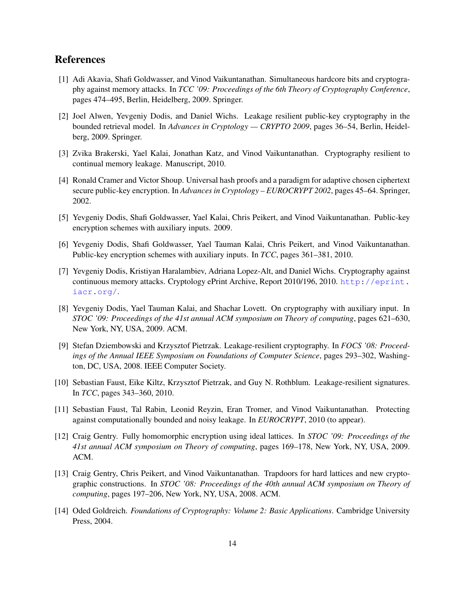# References

- <span id="page-13-6"></span>[1] Adi Akavia, Shafi Goldwasser, and Vinod Vaikuntanathan. Simultaneous hardcore bits and cryptography against memory attacks. In *TCC '09: Proceedings of the 6th Theory of Cryptography Conference*, pages 474–495, Berlin, Heidelberg, 2009. Springer.
- <span id="page-13-8"></span>[2] Joel Alwen, Yevgeniy Dodis, and Daniel Wichs. Leakage resilient public-key cryptography in the bounded retrieval model. In *Advances in Cryptology — CRYPTO 2009*, pages 36–54, Berlin, Heidelberg, 2009. Springer.
- <span id="page-13-5"></span>[3] Zvika Brakerski, Yael Kalai, Jonathan Katz, and Vinod Vaikuntanathan. Cryptography resilient to continual memory leakage. Manuscript, 2010.
- <span id="page-13-9"></span>[4] Ronald Cramer and Victor Shoup. Universal hash proofs and a paradigm for adaptive chosen ciphertext secure public-key encryption. In *Advances in Cryptology – EUROCRYPT 2002*, pages 45–64. Springer, 2002.
- <span id="page-13-13"></span>[5] Yevgeniy Dodis, Shafi Goldwasser, Yael Kalai, Chris Peikert, and Vinod Vaikuntanathan. Public-key encryption schemes with auxiliary inputs. 2009.
- <span id="page-13-11"></span>[6] Yevgeniy Dodis, Shafi Goldwasser, Yael Tauman Kalai, Chris Peikert, and Vinod Vaikuntanathan. Public-key encryption schemes with auxiliary inputs. In *TCC*, pages 361–381, 2010.
- <span id="page-13-4"></span>[7] Yevgeniy Dodis, Kristiyan Haralambiev, Adriana Lopez-Alt, and Daniel Wichs. Cryptography against continuous memory attacks. Cryptology ePrint Archive, Report 2010/196, 2010. [http://eprint.](http://eprint.iacr.org/) [iacr.org/](http://eprint.iacr.org/).
- <span id="page-13-10"></span>[8] Yevgeniy Dodis, Yael Tauman Kalai, and Shachar Lovett. On cryptography with auxiliary input. In *STOC '09: Proceedings of the 41st annual ACM symposium on Theory of computing*, pages 621–630, New York, NY, USA, 2009. ACM.
- <span id="page-13-1"></span>[9] Stefan Dziembowski and Krzysztof Pietrzak. Leakage-resilient cryptography. In *FOCS '08: Proceedings of the Annual IEEE Symposium on Foundations of Computer Science*, pages 293–302, Washington, DC, USA, 2008. IEEE Computer Society.
- <span id="page-13-2"></span>[10] Sebastian Faust, Eike Kiltz, Krzysztof Pietrzak, and Guy N. Rothblum. Leakage-resilient signatures. In *TCC*, pages 343–360, 2010.
- <span id="page-13-3"></span>[11] Sebastian Faust, Tal Rabin, Leonid Reyzin, Eran Tromer, and Vinod Vaikuntanathan. Protecting against computationally bounded and noisy leakage. In *EUROCRYPT*, 2010 (to appear).
- <span id="page-13-0"></span>[12] Craig Gentry. Fully homomorphic encryption using ideal lattices. In *STOC '09: Proceedings of the 41st annual ACM symposium on Theory of computing*, pages 169–178, New York, NY, USA, 2009. ACM.
- <span id="page-13-7"></span>[13] Craig Gentry, Chris Peikert, and Vinod Vaikuntanathan. Trapdoors for hard lattices and new cryptographic constructions. In *STOC '08: Proceedings of the 40th annual ACM symposium on Theory of computing*, pages 197–206, New York, NY, USA, 2008. ACM.
- <span id="page-13-12"></span>[14] Oded Goldreich. *Foundations of Cryptography: Volume 2: Basic Applications*. Cambridge University Press, 2004.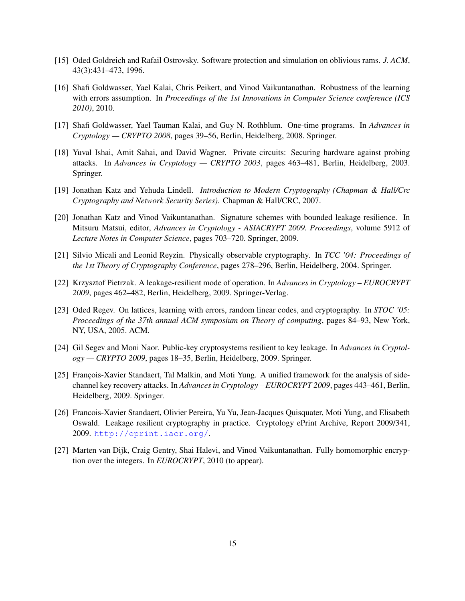- <span id="page-14-1"></span>[15] Oded Goldreich and Rafail Ostrovsky. Software protection and simulation on oblivious rams. *J. ACM*, 43(3):431–473, 1996.
- [16] Shafi Goldwasser, Yael Kalai, Chris Peikert, and Vinod Vaikuntanathan. Robustness of the learning with errors assumption. In *Proceedings of the 1st Innovations in Computer Science conference (ICS 2010)*, 2010.
- <span id="page-14-3"></span>[17] Shafi Goldwasser, Yael Tauman Kalai, and Guy N. Rothblum. One-time programs. In *Advances in Cryptology — CRYPTO 2008*, pages 39–56, Berlin, Heidelberg, 2008. Springer.
- <span id="page-14-2"></span>[18] Yuval Ishai, Amit Sahai, and David Wagner. Private circuits: Securing hardware against probing attacks. In *Advances in Cryptology — CRYPTO 2003*, pages 463–481, Berlin, Heidelberg, 2003. Springer.
- <span id="page-14-9"></span>[19] Jonathan Katz and Yehuda Lindell. *Introduction to Modern Cryptography (Chapman & Hall/Crc Cryptography and Network Security Series)*. Chapman & Hall/CRC, 2007.
- <span id="page-14-8"></span>[20] Jonathan Katz and Vinod Vaikuntanathan. Signature schemes with bounded leakage resilience. In Mitsuru Matsui, editor, *Advances in Cryptology - ASIACRYPT 2009. Proceedings*, volume 5912 of *Lecture Notes in Computer Science*, pages 703–720. Springer, 2009.
- <span id="page-14-4"></span>[21] Silvio Micali and Leonid Reyzin. Physically observable cryptography. In *TCC '04: Proceedings of the 1st Theory of Cryptography Conference*, pages 278–296, Berlin, Heidelberg, 2004. Springer.
- <span id="page-14-5"></span>[22] Krzysztof Pietrzak. A leakage-resilient mode of operation. In *Advances in Cryptology – EUROCRYPT 2009*, pages 462–482, Berlin, Heidelberg, 2009. Springer-Verlag.
- <span id="page-14-6"></span>[23] Oded Regev. On lattices, learning with errors, random linear codes, and cryptography. In *STOC '05: Proceedings of the 37th annual ACM symposium on Theory of computing*, pages 84–93, New York, NY, USA, 2005. ACM.
- <span id="page-14-7"></span>[24] Gil Segev and Moni Naor. Public-key cryptosystems resilient to key leakage. In *Advances in Cryptology — CRYPTO 2009*, pages 18–35, Berlin, Heidelberg, 2009. Springer.
- [25] François-Xavier Standaert, Tal Malkin, and Moti Yung. A unified framework for the analysis of sidechannel key recovery attacks. In *Advances in Cryptology – EUROCRYPT 2009*, pages 443–461, Berlin, Heidelberg, 2009. Springer.
- [26] Francois-Xavier Standaert, Olivier Pereira, Yu Yu, Jean-Jacques Quisquater, Moti Yung, and Elisabeth Oswald. Leakage resilient cryptography in practice. Cryptology ePrint Archive, Report 2009/341, 2009. <http://eprint.iacr.org/>.
- <span id="page-14-0"></span>[27] Marten van Dijk, Craig Gentry, Shai Halevi, and Vinod Vaikuntanathan. Fully homomorphic encryption over the integers. In *EUROCRYPT*, 2010 (to appear).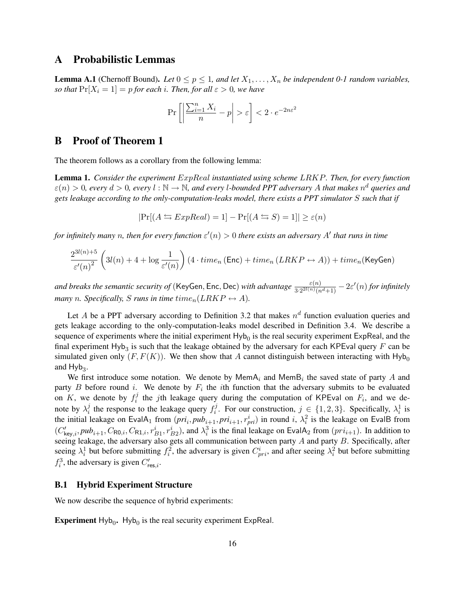## A Probabilistic Lemmas

**Lemma A.1** (Chernoff Bound). Let  $0 \leq p \leq 1$ , and let  $X_1, \ldots, X_n$  be independent 0-1 random variables, *so that*  $Pr[X_i = 1] = p$  *for each i. Then, for all*  $\varepsilon > 0$ *, we have* 

$$
\Pr\left[\left|\frac{\sum_{i=1}^n X_i}{n} - p\right| > \varepsilon\right] < 2 \cdot e^{-2n\varepsilon^2}
$$

## <span id="page-15-0"></span>B Proof of Theorem [1](#page-12-1)

The theorem follows as a corollary from the following lemma:

Lemma 1. *Consider the experiment* ExpReal *instantiated using scheme* LRKP*. Then, for every function*  $\varepsilon(n) > 0$ , every  $d > 0$ , every  $l : \mathbb{N} \to \mathbb{N}$ , and every *l*-bounded PPT adversary A that makes  $n^d$  queries and *gets leakage according to the only-computation-leaks model, there exists a PPT simulator* S *such that if*

$$
|\Pr[(A \leq ExpReal) = 1] - \Pr[(A \leq S) = 1]| \geq \varepsilon(n)
$$

*for infinitely many* n*, then for every function* ε 0 (n) > 0 *there exists an adversary* A<sup>0</sup> *that runs in time*

$$
\frac{2^{3l(n)+5}}{\varepsilon'(n)^2} \left(3l(n)+4+\log\frac{1}{\varepsilon'(n)}\right)\left(4\cdot time_n\left(\mathsf{Enc}\right)+time_n\left(LRKP\leftrightarrow A\right)\right)+time_n(\mathsf{KeyGen})
$$

and breaks the semantic security of (KeyGen, Enc, Dec) with advantage  $\frac{\varepsilon(n)}{3\cdot2^{2l(n)}(n^d+1)}-2\varepsilon'(n)$  for infinitely *many n. Specifically, S runs in time*  $time_n(LRKP \leftrightarrow A)$ *.* 

Let A be a PPT adversary according to [Definition 3.2](#page-8-0) that makes  $n^d$  function evaluation queries and gets leakage according to the only-computation-leaks model described in [Definition 3.4.](#page-9-0) We describe a sequence of experiments where the initial experiment  $Hyb<sub>0</sub>$  is the real security experiment ExpReal, and the final experiment Hyb<sub>3</sub> is such that the leakage obtained by the adversary for each KPEval query  $F$  can be simulated given only  $(F, F(K))$ . We then show that A cannot distinguish between interacting with Hyb<sub>0</sub> and  $Hyb<sub>3</sub>$ .

We first introduce some notation. We denote by MemA<sub>i</sub> and MemB<sub>i</sub> the saved state of party A and party B before round i. We denote by  $F_i$  the ith function that the adversary submits to be evaluated on K, we denote by  $f_i^j$ <sup>t</sup> the jth leakage query during the computation of KPEval on  $F_i$ , and we denote by  $\lambda_i^j$  $i$  the response to the leakage query  $f_i^j$  $i$ . For our construction,  $j \in \{1, 2, 3\}$ . Specifically,  $\lambda_i^1$  is the initial leakage on EvalA<sub>1</sub> from  $(pri_i, pub_{i+1}, pri_{i+1}, r_{pri}^i)$  in round i,  $\lambda_i^2$  is the leakage on EvalB from  $(C'_{\text{key},i}, \text{pub}_{i+1}, C_{\text{R0},i}, C_{\text{R1},i}, r_{B1}^i, r_{B2}^i)$ , and  $\lambda_i^3$  is the final leakage on EvalA<sub>2</sub> from  $(\text{pri}_{i+1})$ . In addition to seeing leakage, the adversary also gets all communication between party  $A$  and party  $B$ . Specifically, after seeing  $\lambda_i^1$  but before submitting  $f_i^2$ , the adversary is given  $C_{pri}^i$ , and after seeing  $\lambda_i^2$  but before submitting  $f_i^3$ , the adversary is given  $C'_{res,i}$ .

### B.1 Hybrid Experiment Structure

We now describe the sequence of hybrid experiments:

**Experiment**  $Hyb_0$ .  $Hyb_0$  is the real security experiment ExpReal.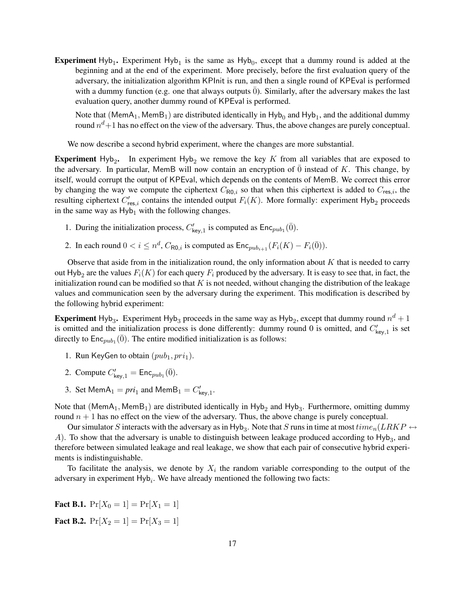**Experiment** Hyb<sub>1</sub>. Experiment Hyb<sub>1</sub> is the same as Hyb<sub>0</sub>, except that a dummy round is added at the beginning and at the end of the experiment. More precisely, before the first evaluation query of the adversary, the initialization algorithm KPInit is run, and then a single round of KPEval is performed with a dummy function (e.g. one that always outputs  $\overline{0}$ ). Similarly, after the adversary makes the last evaluation query, another dummy round of KPEval is performed.

Note that  $(MemA_1, MemB_1)$  are distributed identically in  $Hyb_0$  and  $Hyb_1$ , and the additional dummy round  $n^d+1$  has no effect on the view of the adversary. Thus, the above changes are purely conceptual.

We now describe a second hybrid experiment, where the changes are more substantial.

**Experiment** Hyb<sub>2</sub>. In experiment Hyb<sub>2</sub> we remove the key K from all variables that are exposed to the adversary. In particular, MemB will now contain an encryption of 0 instead of  $K$ . This change, by itself, would corrupt the output of KPEval, which depends on the contents of MemB. We correct this error by changing the way we compute the ciphertext  $C_{\text{R0},i}$  so that when this ciphertext is added to  $C_{\text{res},i}$ , the resulting ciphertext  $C'_{res,i}$  contains the intended output  $F_i(K)$ . More formally: experiment Hyb<sub>2</sub> proceeds in the same way as  $Hyb<sub>1</sub>$  with the following changes.

- 1. During the initialization process,  $C'_{\text{key},1}$  is computed as  $\text{Enc}_{pub_1}(\overline{0})$ .
- 2. In each round  $0 < i \leq n^d$ ,  $C_{R0,i}$  is computed as  $\mathsf{Enc}_{pub_{i+1}}(F_i(K) F_i(\bar{0}))$ .

Observe that aside from in the initialization round, the only information about  $K$  that is needed to carry out Hyb<sub>2</sub> are the values  $F_i(K)$  for each query  $F_i$  produced by the adversary. It is easy to see that, in fact, the initialization round can be modified so that  $K$  is not needed, without changing the distribution of the leakage values and communication seen by the adversary during the experiment. This modification is described by the following hybrid experiment:

**Experiment** Hyb<sub>3</sub>. Experiment Hyb<sub>3</sub> proceeds in the same way as Hyb<sub>2</sub>, except that dummy round  $n^d + 1$ is omitted and the initialization process is done differently: dummy round 0 is omitted, and  $C'_{\text{key},1}$  is set directly to  $\mathsf{Enc}_{pub_1}(\overline{0})$ . The entire modified initialization is as follows:

- 1. Run KeyGen to obtain  $(pub_1, pri_1)$ .
- 2. Compute  $C'_{\text{key},1} = \text{Enc}_{pub_1}(\overline{0})$ .
- 3. Set Mem $A_1 = pri_1$  and Mem $B_1 = C'_{key,1}$ .

Note that  $(MemA_1, MemB_1)$  are distributed identically in  $Hyb_2$  and  $Hyb_3$ . Furthermore, omitting dummy round  $n + 1$  has no effect on the view of the adversary. Thus, the above change is purely conceptual.

Our simulator  $S$  interacts with the adversary as in Hyb<sub>3</sub>. Note that  $S$  runs in time at most  $time_n(LRKP \leftrightarrow$ A). To show that the adversary is unable to distinguish between leakage produced according to  $Hyb<sub>3</sub>$ , and therefore between simulated leakage and real leakage, we show that each pair of consecutive hybrid experiments is indistinguishable.

To facilitate the analysis, we denote by  $X_i$  the random variable corresponding to the output of the adversary in experiment  $Hyb_i$ . We have already mentioned the following two facts:

**Fact B.1.**  $Pr[X_0 = 1] = Pr[X_1 = 1]$ **Fact B.2.**  $Pr[X_2 = 1] = Pr[X_3 = 1]$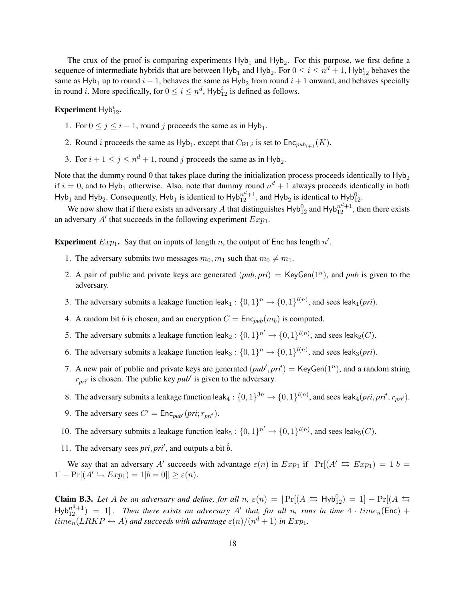The crux of the proof is comparing experiments  $Hyb_1$  and  $Hyb_2$ . For this purpose, we first define a sequence of intermediate hybrids that are between  $Hyb_1$  and  $Hyb_2$ . For  $0 \le i \le n^d + 1$ ,  $Hyb_{12}^i$  behaves the same as Hyb<sub>1</sub> up to round  $i - 1$ , behaves the same as Hyb<sub>2</sub> from round  $i + 1$  onward, and behaves specially in round *i*. More specifically, for  $0 \le i \le n^d$ , Hyb $_{12}^i$  is defined as follows.

# **Experiment**  $\textsf{Hyb}_{12}^i$ .

- 1. For  $0 \le j \le i 1$ , round j proceeds the same as in Hyb<sub>1</sub>.
- 2. Round *i* proceeds the same as  $Hyb_1$ , except that  $C_{R1,i}$  is set to  $Enc_{pub_{i+1}}(K)$ .
- 3. For  $i + 1 \leq j \leq n^d + 1$ , round j proceeds the same as in Hyb<sub>2</sub>.

Note that the dummy round 0 that takes place during the initialization process proceeds identically to  $Hyb<sub>2</sub>$ if  $i = 0$ , and to Hyb<sub>1</sub> otherwise. Also, note that dummy round  $n^d + 1$  always proceeds identically in both Hyb<sub>1</sub> and Hyb<sub>2</sub>. Consequently, Hyb<sub>1</sub> is identical to Hyb $_{12}^{n^d+1}$ , and Hyb<sub>2</sub> is identical to Hyb<sub>12</sub>.

We now show that if there exists an adversary A that distinguishes  $Hyb_{12}^{0}$  and  $Hyb_{12}^{n^d+1}$ , then there exists an adversary  $A'$  that succeeds in the following experiment  $Exp_1$ .

**Experiment**  $Exp_1$ . Say that on inputs of length n, the output of Enc has length  $n'$ .

- 1. The adversary submits two messages  $m_0, m_1$  such that  $m_0 \neq m_1$ .
- 2. A pair of public and private keys are generated  $(pub, pri)$  = KeyGen $(1^n)$ , and *pub* is given to the adversary.
- <span id="page-17-1"></span>3. The adversary submits a leakage function leak<sub>1</sub> :  $\{0,1\}^n \rightarrow \{0,1\}^{l(n)}$ , and sees leak<sub>1</sub>(*pri*).
- 4. A random bit b is chosen, and an encryption  $C = \text{Enc}_{pub}(m_b)$  is computed.
- <span id="page-17-2"></span>5. The adversary submits a leakage function leak $_2: \{0,1\}^{n'} \to \{0,1\}^{l(n)}$ , and sees leak $_2(C)$ .
- 6. The adversary submits a leakage function leak<sub>3</sub> :  $\{0,1\}^n \rightarrow \{0,1\}^{l(n)}$ , and sees leak<sub>3</sub> $(pri)$ .
- 7. A new pair of public and private keys are generated  $(pub', pri') = \text{KeyGen}(1^n)$ , and a random string  $r_{pri'}$  is chosen. The public key  $pub'$  is given to the adversary.
- 8. The adversary submits a leakage function leak<sub>4</sub>:  $\{0,1\}^{3n} \to \{0,1\}^{l(n)}$ , and sees leak<sub>4</sub>(*pri*, *pri'*, *r*<sub>pri'</sub>).
- 9. The adversary sees  $C' = \text{Enc}_{pub'}(pri; r_{pri'})$ .
- 10. The adversary submits a leakage function leak<sub>5</sub> :  $\{0,1\}^{n'} \rightarrow \{0,1\}^{l(n)}$ , and sees leak<sub>5</sub>(*C*).
- 11. The adversary sees  $pri, pri'$ , and outputs a bit  $\hat{b}$ .

We say that an adversary A' succeeds with advantage  $\varepsilon(n)$  in  $Exp_1$  if  $|Pr[(A' \leq Exp_1) = 1|b]$  $1] - Pr[(A' \leftrightarrows Exp_1) = 1|b = 0|] \geq \varepsilon(n).$ 

<span id="page-17-0"></span>**Claim B.3.** Let A be an adversary and define, for all  $n$ ,  $\varepsilon(n) = |Pr[(A \leq Hyb_{12}^0) = 1] - Pr[(A \leq Hb_{12}^0) = 1]$  $\text{Hyb}_{12}^{n^d+1})$  = 1]. Then there exists an adversary A' that, for all n, runs in time  $4 \cdot \text{time}_n(\text{\textsf{Enc}}) +$  $time_n(LRKP \leftrightarrow A)$  and succeeds with advantage  $\varepsilon(n)/(n^d+1)$  in  $Exp_1$ .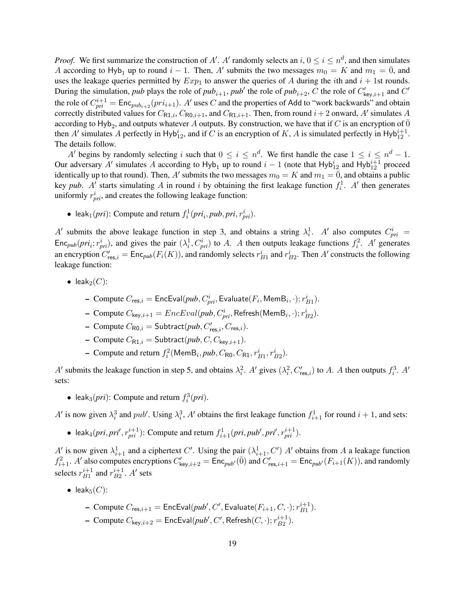*Proof.* We first summarize the construction of A'. A' randomly selects an  $i, 0 \le i \le n^d$ , and then simulates A according to Hyb<sub>1</sub> up to round  $i - 1$ . Then, A' submits the two messages  $m_0 = K$  and  $m_1 = \overline{0}$ , and uses the leakage queries permitted by  $Exp_1$  to answer the queries of A during the *i*th and  $i + 1$ st rounds. During the simulation, *pub* plays the role of  $pub_{i+1}$ ,  $pub'$  the role of  $pub_{i+2}$ , C the role of  $C'_{key,i+1}$  and  $C'$ the role of  $C_{pri}^{i+1} = \textsf{Enc}_{pub_{i+2}}(pri_{i+1})$ . A' uses C and the properties of Add to "work backwards" and obtain correctly distributed values for  $C_{\text{R1},i}$ ,  $C_{\text{R0},i+1}$ , and  $C_{\text{R1},i+1}$ . Then, from round  $i+2$  onward, A' simulates A according to Hyb<sub>2</sub>, and outputs whatever A outputs. By construction, we have that if C is an encryption of  $\bar{0}$ then A' simulates A perfectly in Hyb<sup>i</sup><sub>12</sub>, and if C is an encryption of K, A is simulated perfectly in Hyb<sup>i<sub>12</sub></sup>. The details follow.

A' begins by randomly selecting i such that  $0 \le i \le n^d$ . We first handle the case  $1 \le i \le n^d - 1$ . Our adversary A' simulates A according to Hyb<sub>1</sub> up to round  $i-1$  (note that Hyb<sup>1</sup><sub>12</sub> and Hyb<sup>1</sup><sub>1</sub><sup>1</sup> proceed identically up to that round). Then, A' submits the two messages  $m_0 = K$  and  $m_1 = \overline{0}$ , and obtains a public key *pub*. A' starts simulating A in round i by obtaining the first leakage function  $f_i^1$ . A' then generates uniformly  $r_{pri}^i$ , and creates the following leakage function:

• leak<sub>1</sub>(*pri*): Compute and return  $f_i^1(pr_i, pub,pri, r_{pri}^i)$ .

A' submits the above leakage function in step [3,](#page-17-1) and obtains a string  $\lambda_i^1$ . A' also computes  $C_{pri}^i$  =  $Enc_{pub}(pri_i; r_{pri}^i)$ , and gives the pair  $(\lambda_i^1, C_{pri}^i)$  to A. A then outputs leakage functions  $f_i^2$ . A' generates an encryption  $C'_{res,i} = \text{Enc}_{pub}(F_i(K))$ , and randomly selects  $r_{B1}^i$  and  $r_{B2}^i$ . Then A' constructs the following leakage function:

- leak $2(C)$ :
	- $-$  Compute  $C_{\mathsf{res},i} = \mathsf{EncEval}(pub, C^i_{pri}, \mathsf{Evaluate}(F_i, \mathsf{MemB}_i, \cdot); r^i_{B1}).$
	- Compute  $C_{\mathsf{key},i+1} = EncEval(pub, C_{pri}^i, \mathsf{References} \mathsf{h}(\mathsf{MemB}_i, \cdot); r_{B2}^i)$ .
	- Compute  $C_{\mathsf{R0},i} = \mathsf{Subtract}(pub, C'_{\mathsf{res},i}, C_{\mathsf{res},i}).$
	- $-$  Compute  $C_{\text{R1},i}$  = Subtract(*pub*,  $C, C_{\text{kev},i+1}$ ).
	- Compute and return  $f_i^2(\text{MemB}_i, \text{pub}, C_{\text{R0}}, C_{\text{R1}}, r_{B1}^i, r_{B2}^i)$ .

A' submits the leakage function in step [5,](#page-17-2) and obtains  $\lambda_i^2$ . A' gives  $(\lambda_i^2, C'_{res,i})$  to A. A then outputs  $f_i^3$ . A' sets:

• leak<sub>3</sub> $(pri)$ : Compute and return  $f_i^3(pri)$ .

A' is now given  $\lambda_i^3$  and  $pub'$ . Using  $\lambda_i^3$ , A' obtains the first leakage function  $f_{i+1}^1$  for round  $i+1$ , and sets:

• leak<sub>4</sub>(*pri*, *pri'*,  $r_{pri}^{i+1}$ ): Compute and return  $f_{i+1}^1(pri, pub',pri',r_{pri}^{i+1})$ .

A' is now given  $\lambda_{i+1}^1$  and a ciphertext C'. Using the pair  $(\lambda_{i+1}^1, C')$  A' obtains from A a leakage function  $f_{i+1}^2$ . A' also computes encryptions  $C'_{\mathsf{key},i+2} = \mathsf{Enc}_{pub'}(\overline{0})$  and  $C'_{\mathsf{res},i+1} = \mathsf{Enc}_{pub'}(F_{i+1}(K))$ , and randomly selects  $r_{B1}^{i+1}$  $\frac{i+1}{B1}$  and  $r_{B2}^{i+1}$  $\frac{i+1}{B2}$ . A' sets

- leak $_5(C)$ :
	- Compute  $C_{\mathsf{res}, i+1} = \mathsf{EncEval}(pub', C', \mathsf{Evaluate}(F_{i+1}, C, \cdot); r_{B1}^{i+1})$  $_{B1}^{i+1}$ ).
	- Compute  $C_{\mathsf{key},i+2} = \mathsf{EncEval}(pub', C', \mathsf{Refresh}(C, \cdot); r_{B2}^{i+1})$  $_{B2}^{i+1}$ ).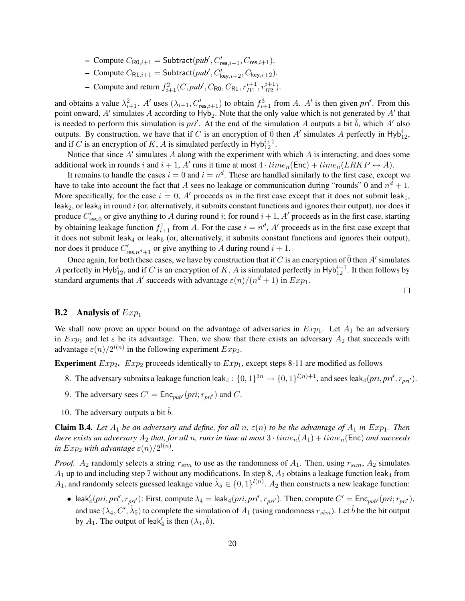- Compute  $C_{\mathsf{R0},i+1} = \mathsf{Subtract}(pub', C'_{\mathsf{res},i+1}, C_{\mathsf{res},i+1}).$
- Compute  $C_{\mathsf{R1},i+1} = \mathsf{Subtract}(pub', C'_{\mathsf{key},i+2}, C_{\mathsf{key},i+2}).$
- Compute and return  $f_{i+1}^2(C, pub', C_{R0}, C_{R1}, r_{B1}^{i+1}, r_{B2}^{i+1}).$

and obtains a value  $\lambda_{i+1}^2$ . A' uses  $(\lambda_{i+1}, C'_{\text{res},i+1})$  to obtain  $f_{i+1}^3$  from A. A' is then given pri'. From this point onward, A' simulates A according to  $Hyb<sub>2</sub>$ . Note that the only value which is not generated by A' that is needed to perform this simulation is *pri*<sup> $\prime$ </sup>. At the end of the simulation A outputs a bit  $\hat{b}$ , which A' also outputs. By construction, we have that if C is an encryption of  $\overline{0}$  then A' simulates A perfectly in Hyb<sup>2</sup><sub>12</sub>, and if C is an encryption of K, A is simulated perfectly in  $H_y b_{12}^{i+1}$ .

Notice that since  $A'$  simulates  $A$  along with the experiment with which  $A$  is interacting, and does some additional work in rounds i and  $i + 1$ , A' runs it time at most  $4 \cdot time_n(\text{Enc}) + time_n(LRKP \leftrightarrow A)$ .

It remains to handle the cases  $i = 0$  and  $i = n<sup>d</sup>$ . These are handled similarly to the first case, except we have to take into account the fact that A sees no leakage or communication during "rounds" 0 and  $n^d + 1$ . More specifically, for the case  $i = 0$ , A' proceeds as in the first case except that it does not submit leak<sub>1</sub>, leak<sub>2</sub>, or leak<sub>3</sub> in round i (or, alternatively, it submits constant functions and ignores their output), nor does it produce  $C'_{res,0}$  or give anything to A during round i; for round  $i + 1$ , A' proceeds as in the first case, starting by obtaining leakage function  $f_{i+1}^1$  from A. For the case  $i = n^d$ , A' proceeds as in the first case except that it does not submit leak<sub>4</sub> or leak<sub>5</sub> (or, alternatively, it submits constant functions and ignores their output), nor does it produce  $C'_{res,n^d+1}$  or give anything to A during round  $i+1$ .

Once again, for both these cases, we have by construction that if C is an encryption of  $\bar{0}$  then A' simulates A perfectly in Hyb $i_1$ , and if C is an encryption of K, A is simulated perfectly in Hyb $i_1^{i+1}$ . It then follows by standard arguments that A' succeeds with advantage  $\varepsilon(n)/(n^d + 1)$  in  $Exp_1$ .

### **B.2** Analysis of  $Exp_1$

We shall now prove an upper bound on the advantage of adversaries in  $Exp_1$ . Let  $A_1$  be an adversary in  $Exp_1$  and let  $\varepsilon$  be its advantage. Then, we show that there exists an adversary  $A_2$  that succeeds with advantage  $\varepsilon(n)/2^{l(n)}$  in the following experiment  $Exp_2$ .

<span id="page-19-0"></span>**Experiment**  $Exp_2$ .  $Exp_2$  proceeds identically to  $Exp_1$ , except steps 8-11 are modified as follows

- 8. The adversary submits a leakage function leak<sub>4</sub> :  $\{0,1\}^{3n} \to \{0,1\}^{l(n)+1}$ , and sees leak<sub>4</sub>(*pri*, *pri'*, *r*<sub>pri'</sub>).
- 9. The adversary sees  $C' = \text{Enc}_{pub'}(pri; r_{pri'})$  and C.
- 10. The adversary outputs a bit  $b$ .

<span id="page-19-1"></span>**Claim B.4.** Let  $A_1$  be an adversary and define, for all n,  $\varepsilon(n)$  to be the advantage of  $A_1$  in Exp<sub>1</sub>. Then *there exists an adversary*  $A_2$  *that, for all* n, *runs in time at most*  $3 \cdot time_n(A_1) + time_n(\text{Enc})$  *and succeeds in*  $Exp_2$  *with advantage*  $\varepsilon(n)/2^{l(n)}$ *.* 

*Proof.*  $A_2$  randomly selects a string  $r_{sim}$  to use as the randomness of  $A_1$ . Then, using  $r_{sim}$ ,  $A_2$  simulates  $A_1$  up to and including step 7 without any modifications. In step 8,  $A_2$  obtains a leakage function leak<sub>4</sub> from  $A_1$ , and randomly selects guessed leakage value  $\hat{\lambda}_5 \in \{0,1\}^{l(n)}$ .  $A_2$  then constructs a new leakage function:

• leak<sup> $\ell_4(pri, pri', r_{pri'})$ : First, compute  $\lambda_4 = \text{leak}_4(pri, pri', r_{pri'})$ . Then, compute  $C' = \text{Enc}_{pub'}(pri; r_{pri'})$ ,</sup> and use  $(\lambda_4, C', \hat{\lambda}_5)$  to complete the simulation of  $A_1$  (using randomness  $r_{sim}$ ). Let  $\hat{b}$  be the bit output by  $A_1$ . The output of leak $'_{4}$  is then  $(\lambda_4, \hat{b})$ .

 $\Box$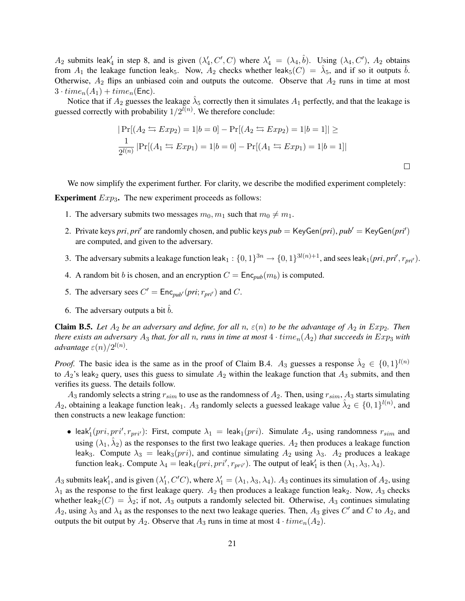$A_2$  submits leak<sup>'</sup><sub>4</sub> in step [8,](#page-19-0) and is given  $(\lambda'_4, C', C)$  where  $\lambda'_4 = (\lambda_4, \hat{b})$ . Using  $(\lambda_4, C')$ ,  $A_2$  obtains from  $A_1$  the leakage function leak<sub>5</sub>. Now,  $A_2$  checks whether leak<sub>5</sub>(C) =  $\hat{\lambda}_5$ , and if so it outputs  $\hat{b}$ . Otherwise,  $A_2$  flips an unbiased coin and outputs the outcome. Observe that  $A_2$  runs in time at most  $3 \cdot time_n(A_1) + time_n(\text{Enc}).$ 

Notice that if  $A_2$  guesses the leakage  $\hat{\lambda}_5$  correctly then it simulates  $A_1$  perfectly, and that the leakage is guessed correctly with probability  $1/2^{l(n)}$ . We therefore conclude:

$$
|\Pr[(A_2 \leq Exp_2) = 1|b = 0] - \Pr[(A_2 \leq Exp_2) = 1|b = 1]| \ge
$$
  

$$
\frac{1}{2^{l(n)}}|\Pr[(A_1 \leq Exp_1) = 1|b = 0] - \Pr[(A_1 \leq Exp_1) = 1|b = 1]|
$$

 $\Box$ 

We now simplify the experiment further. For clarity, we describe the modified experiment completely:

**Experiment**  $Exp_3$ . The new experiment proceeds as follows:

- 1. The adversary submits two messages  $m_0, m_1$  such that  $m_0 \neq m_1$ .
- 2. Private keys *pri*, *pri*<sup> $\prime$ </sup> are randomly chosen, and public keys  $pub = KeyGen(pri)$ ,  $pub' = KeyGen(pri')$ are computed, and given to the adversary.
- 3. The adversary submits a leakage function leak<sub>1</sub> :  $\{0,1\}^{3n} \to \{0,1\}^{3l(n)+1}$ , and sees leak<sub>1</sub>(*pri*, *pri'*, *r<sub>pri'</sub>*).
- 4. A random bit b is chosen, and an encryption  $C = \text{Enc}_{pub}(m_b)$  is computed.
- 5. The adversary sees  $C' = \text{Enc}_{pub'}(pri; r_{pri'})$  and C.
- 6. The adversary outputs a bit  $b$ .

<span id="page-20-0"></span>**Claim B.5.** Let  $A_2$  be an adversary and define, for all n,  $\varepsilon(n)$  to be the advantage of  $A_2$  in Exp<sub>2</sub>. Then *there exists an adversary*  $A_3$  *that, for all n, runs in time at most*  $4 \cdot time_n(A_2)$  *that succeeds in*  $Exp_3$  *with advantage*  $\varepsilon(n)/2^{l(n)}$ .

*Proof.* The basic idea is the same as in the proof of [Claim B.4.](#page-19-1)  $A_3$  guesses a response  $\hat{\lambda}_2 \in \{0,1\}^{l(n)}$ to  $A_2$ 's leak<sub>2</sub> query, uses this guess to simulate  $A_2$  within the leakage function that  $A_3$  submits, and then verifies its guess. The details follow.

 $A_3$  randomly selects a string  $r_{sim}$  to use as the randomness of  $A_2$ . Then, using  $r_{sim}$ ,  $A_3$  starts simulating  $A_2$ , obtaining a leakage function leak<sub>1</sub>.  $A_3$  randomly selects a guessed leakage value  $\hat{\lambda}_2 \in \{0,1\}^{l(n)}$ , and then constructs a new leakage function:

• leak $_1'(pri, pri', r_{pri}')$ : First, compute  $\lambda_1$  = leak $_1(pri)$ . Simulate  $A_2$ , using randomness  $r_{sim}$  and using  $(\lambda_1, \hat{\lambda}_2)$  as the responses to the first two leakage queries.  $A_2$  then produces a leakage function leak<sub>3</sub>. Compute  $\lambda_3$  = leak<sub>3</sub> $(pri)$ , and continue simulating  $A_2$  using  $\lambda_3$ .  $A_2$  produces a leakage function leak<sub>4</sub>. Compute  $\lambda_4 = \text{leak}_4(pri, pri', r_{pri'})$ . The output of leak $_1'$  is then  $(\lambda_1, \lambda_3, \lambda_4)$ .

 $A_3$  submits leak'<sub>1</sub>, and is given  $(\lambda'_1, C'C)$ , where  $\lambda'_1 = (\lambda_1, \lambda_3, \lambda_4)$ .  $A_3$  continues its simulation of  $A_2$ , using  $\lambda_1$  as the response to the first leakage query.  $A_2$  then produces a leakage function leak<sub>2</sub>. Now,  $A_3$  checks whether leak<sub>2</sub>(C) =  $\hat{\lambda}_2$ ; if not,  $A_3$  outputs a randomly selected bit. Otherwise,  $A_3$  continues simulating  $A_2$ , using  $\lambda_3$  and  $\lambda_4$  as the responses to the next two leakage queries. Then,  $A_3$  gives C' and C to  $A_2$ , and outputs the bit output by  $A_2$ . Observe that  $A_3$  runs in time at most  $4 \cdot time_n(A_2)$ .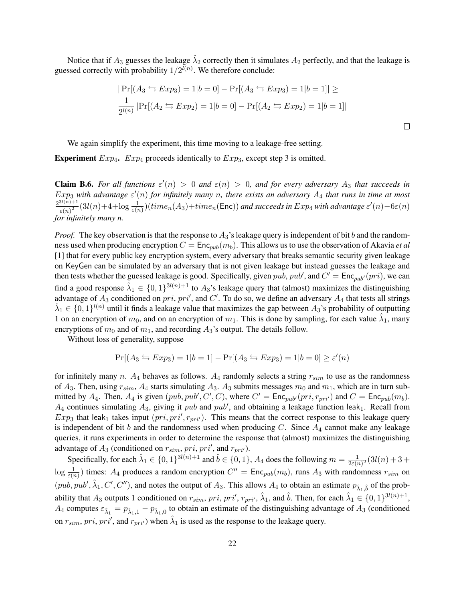Notice that if  $A_3$  guesses the leakage  $\hat{\lambda}_2$  correctly then it simulates  $A_2$  perfectly, and that the leakage is guessed correctly with probability  $1/2^{l(n)}$ . We therefore conclude:

$$
|\Pr[(A_3 \leq Exp_3) = 1|b = 0] - \Pr[(A_3 \leq Exp_3) = 1|b = 1]| \ge
$$
  

$$
\frac{1}{2^{l(n)}} |\Pr[(A_2 \leq Exp_2) = 1|b = 0] - \Pr[(A_2 \leq Exp_2) = 1|b = 1]|
$$

 $\Box$ 

We again simplify the experiment, this time moving to a leakage-free setting.

**Experiment**  $Exp_4$ .  $Exp_4$  proceeds identically to  $Exp_3$ , except step 3 is omitted.

<span id="page-21-0"></span>**Claim B.6.** For all functions  $\varepsilon'(n) > 0$  and  $\varepsilon(n) > 0$ , and for every adversary  $A_3$  that succeeds in  $Exp_3$  with advantage  $\varepsilon'(n)$  for infinitely many n, there exists an adversary  $A_4$  that runs in time at most  $2^{3l(n)+1}$  $3l(n)+1$  $\frac{3l(n)+1}{\varepsilon(n)^2}(3l(n)+4+\log\frac{1}{\varepsilon(n)})(time_n(A_3)+time_n(\textsf{Enc}))$  and succeeds in  $Exp_4$  with advantage  $\varepsilon'(n)-6\varepsilon(n)$ *for infinitely many n.*

*Proof.* The key observation is that the response to  $A_3$ 's leakage query is independent of bit b and the randomness used when producing encryption  $C = \text{Enc}_{pub}(m_b)$ . This allows us to use the observation of Akavia *et al* [\[1\]](#page-13-6) that for every public key encryption system, every adversary that breaks semantic security given leakage on KeyGen can be simulated by an adversary that is not given leakage but instead guesses the leakage and then tests whether the guessed leakage is good. Specifically, given *pub*, *pub'*, and  $C' = \text{Enc}_{pub'}(pri)$ , we can find a good response  $\hat{\lambda}_1 \in \{0,1\}^{3l(n)+1}$  to  $A_3$ 's leakage query that (almost) maximizes the distinguishing advantage of  $A_3$  conditioned on  $pri$ ,  $pri'$ , and  $C'$ . To do so, we define an adversary  $A_4$  that tests all strings  $\hat{\lambda}_1 \in \{0,1\}^{l(n)}$  until it finds a leakage value that maximizes the gap between  $A_3$ 's probability of outputting 1 on an encryption of  $m_0$ , and on an encryption of  $m_1$ . This is done by sampling, for each value  $\hat{\lambda}_1$ , many encryptions of  $m_0$  and of  $m_1$ , and recording  $A_3$ 's output. The details follow.

Without loss of generality, suppose

$$
Pr[(A_3 \leq Exp_3) = 1|b = 1] - Pr[(A_3 \leq Exp_3) = 1|b = 0] \geq \varepsilon'(n)
$$

for infinitely many n.  $A_4$  behaves as follows.  $A_4$  randomly selects a string  $r_{sim}$  to use as the randomness of  $A_3$ . Then, using  $r_{sim}$ ,  $A_4$  starts simulating  $A_3$ .  $A_3$  submits messages  $m_0$  and  $m_1$ , which are in turn submitted by  $A_4$ . Then,  $A_4$  is given  $(pub, pub', C', C)$ , where  $C' = \text{Enc}_{pub}(pri, r_{pri'})$  and  $C = \text{Enc}_{pub}(m_b)$ .  $A_4$  continues simulating  $A_3$ , giving it pub and pub', and obtaining a leakage function leak<sub>1</sub>. Recall from  $Exp_3$  that leak<sub>1</sub> takes input  $(pri, pri', r_{pri'})$ . This means that the correct response to this leakage query is independent of bit b and the randomness used when producing C. Since  $A_4$  cannot make any leakage queries, it runs experiments in order to determine the response that (almost) maximizes the distinguishing advantage of  $A_3$  (conditioned on  $r_{sim}$ ,  $pri$ ,  $pri'$ , and  $r_{pri'}$ ).

Specifically, for each  $\hat{\lambda}_1 \in \{0,1\}^{3l(n)+1}$  and  $\hat{b} \in \{0,1\}$ ,  $A_4$  does the following  $m = \frac{1}{2\epsilon(n+1)}$  $\frac{1}{2\varepsilon(n)^2}(3l(n)+3+$  $\log \frac{1}{\varepsilon(n)}$ ) times:  $A_4$  produces a random encryption  $C'' = \text{Enc}_{pub}(m_b)$ , runs  $A_3$  with randomness  $r_{sim}$  on  $(pub, pub', \hat{\lambda}_1, C', C'')$ , and notes the output of  $A_3$ . This allows  $A_4$  to obtain an estimate  $p_{\hat{\lambda}_1,\hat{b}}$  of the probability that  $A_3$  outputs 1 conditioned on  $r_{sim}$ ,  $pri$ ,  $pri'$ ,  $r_{pri'}$ ,  $\hat{\lambda}_1$ , and  $\hat{b}$ . Then, for each  $\hat{\lambda}_1 \in \{0, 1\}^{3l(n)+1}$ ,  $A_4$  computes  $\varepsilon_{\hat{\lambda}_1} = p_{\hat{\lambda}_1,1} - p_{\hat{\lambda}_1,0}$  to obtain an estimate of the distinguishing advantage of  $A_3$  (conditioned on  $r_{sim}$ , pri, pri', and  $r_{pri'}$ ) when  $\hat{\lambda}_1$  is used as the response to the leakage query.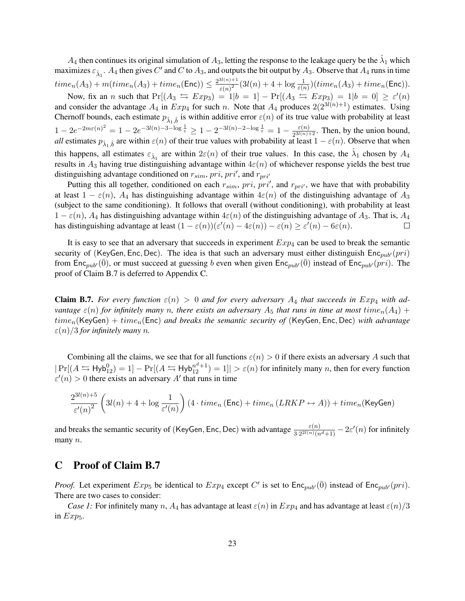$A_4$  then continues its original simulation of  $A_3$ , letting the response to the leakage query be the  $\hat{\lambda}_1$  which maximizes  $\varepsilon_{\hat{\lambda}_1}$ .  $A_4$  then gives C' and C to  $A_3$ , and outputs the bit output by  $A_3$ . Observe that  $A_4$  runs in time 1  $time_n(A_3) + m(time_n(A_3) + time_n(\textsf{Enc})) \leq \frac{2^{3l(n)+1}}{\varepsilon(n)^2}$  $\frac{3l(n)+1}{\varepsilon(n)^2}(3l(n)+4+\log\frac{1}{\varepsilon(n)})(time_n(A_3)+time_n(\mathsf{Enc})).$ 

Now, fix an *n* such that  $Pr[(A_3 \leq Exp_3) = 1|b = 1] - Pr[(A_3 \leq Exp_3) = 1|b = 0] \geq \varepsilon'(n)$ and consider the advantage  $A_4$  in  $Exp_4$  for such n. Note that  $A_4$  produces  $2(2^{3l(n)+1})$  estimates. Using Chernoff bounds, each estimate  $p_{\hat{\lambda}_1,\hat{b}}$  is within additive error  $\varepsilon(n)$  of its true value with probability at least  $1 - 2e^{-2m\varepsilon(n)^2} = 1 - 2e^{-3l(n)-3-\log\frac{1}{\varepsilon}} \ge 1 - 2^{-3l(n)-2-\log\frac{1}{\varepsilon}} = 1 - \frac{\varepsilon(n)}{2^{3l(n)-2}}$  $\frac{\varepsilon(n)}{2^{3l(n)+2}}$ . Then, by the union bound, *all* estimates  $p_{\hat{\lambda}_1,\hat{b}}$  are within  $\varepsilon(n)$  of their true values with probability at least  $1 - \varepsilon(n)$ . Observe that when this happens, all estimates  $\varepsilon_{\hat{\lambda}_1}$  are within  $2\varepsilon(n)$  of their true values. In this case, the  $\hat{\lambda}_1$  chosen by  $A_4$ results in  $A_3$  having true distinguishing advantage within  $4\varepsilon(n)$  of whichever response yields the best true distinguishing advantage conditioned on  $r_{sim}$ ,  $pri$ ,  $pri'$ , and  $r_{pri'}$ 

Putting this all together, conditioned on each  $r_{sim}$ ,  $pri$ ,  $pri'$ , and  $r_{pri'}$ , we have that with probability at least  $1 - \varepsilon(n)$ ,  $A_4$  has distinguishing advantage within  $4\varepsilon(n)$  of the distinguishing advantage of  $A_3$ (subject to the same conditioning). It follows that overall (without conditioning), with probability at least  $1 - \varepsilon(n)$ ,  $A_4$  has distinguishing advantage within  $4\varepsilon(n)$  of the distinguishing advantage of  $A_3$ . That is,  $A_4$ has distinguishing advantage at least  $(1 - \varepsilon(n))(\varepsilon'(n) - 4\varepsilon(n)) - \varepsilon(n) \ge \varepsilon'(n) - 6\varepsilon(n)$ .  $\Box$ 

It is easy to see that an adversary that succeeds in experiment  $Exp_4$  can be used to break the semantic security of (KeyGen, Enc, Dec). The idea is that such an adversary must either distinguish  $Enc_{pub'}(pri)$ from Enc<sub>pub'</sub>( $\overline{0}$ ), or must succeed at guessing b even when given Enc<sub>pub'</sub>( $\overline{0}$ ) instead of Enc<sub>pub'</sub>(pri). The proof of Claim [B.7](#page-22-0) is deferred to Appendix [C.](#page-22-1)

<span id="page-22-0"></span>**Claim B.7.** For every function  $\varepsilon(n) > 0$  and for every adversary  $A_4$  that succeeds in  $Exp_4$  with ad*vantage*  $\varepsilon(n)$  *for infinitely many n, there exists an adversary*  $A_5$  *that runs in time at most time*<sub>n</sub> $(A_4)$  + timen(KeyGen) + timen(Enc) *and breaks the semantic security of* (KeyGen, Enc, Dec) *with advantage*  $\varepsilon(n)/3$  *for infinitely many n*.

Combining all the claims, we see that for all functions  $\varepsilon(n) > 0$  if there exists an adversary A such that  $|\Pr[(A \leftrightarrows \mathsf{Hyb}_{12}^0) = 1] - \Pr[(A \leftrightarrows \mathsf{Hyb}_{12}^{n^d+1}) = 1]| > \varepsilon(n)$  for infinitely many n, then for every function  $\varepsilon'(n) > 0$  there exists an adversary A' that runs in time

$$
\frac{2^{3l(n)+5}}{\varepsilon'(n)^2}\left(3l(n)+4+\log\frac{1}{\varepsilon'(n)}\right)\left(4\cdot time_n\left(\text{Enc}\right)+time_n\left(LRKP\leftrightarrow A\right)\right)+time_n\left(\text{KeyGen}\right)
$$

and breaks the semantic security of (KeyGen, Enc, Dec) with advantage  $\frac{\varepsilon(n)}{3 \cdot 2^{2l(n)}(n^d+1)} - 2\varepsilon'(n)$  for infinitely many n.

## <span id="page-22-1"></span>C Proof of Claim [B.7](#page-22-0)

*Proof.* Let experiment  $Exp_5$  be identical to  $Exp_4$  except C' is set to  $Enc_{pub'}(\overline{0})$  instead of  $Enc_{pub'}(pri)$ . There are two cases to consider:

*Case 1:* For infinitely many n,  $A_4$  has advantage at least  $\varepsilon(n)$  in  $Exp_4$  and has advantage at least  $\varepsilon(n)/3$ in  $Exp_5$ .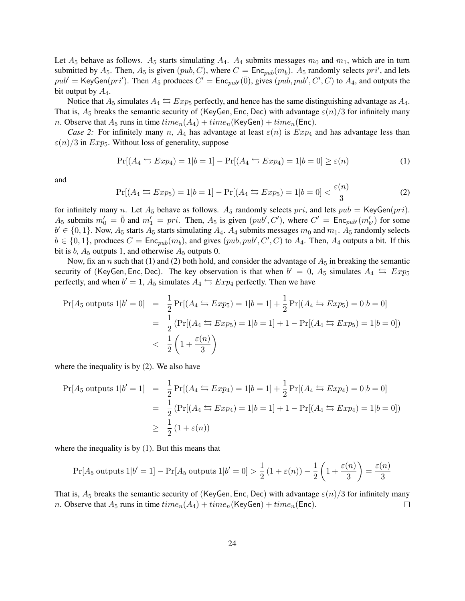Let  $A_5$  behave as follows.  $A_5$  starts simulating  $A_4$ .  $A_4$  submits messages  $m_0$  and  $m_1$ , which are in turn submitted by  $A_5$ . Then,  $A_5$  is given  $(pub, C)$ , where  $C = \text{Enc}_{pub}(m_b)$ .  $A_5$  randomly selects  $pri'$ , and lets  $pub' = \text{KeyGen}(pri')$ . Then  $A_5$  produces  $C' = \text{Enc}_{pub'}(\overline{0})$ , gives  $(pub, pub', C', C)$  to  $A_4$ , and outputs the bit output by  $A_4$ .

Notice that  $A_5$  simulates  $A_4 \leftrightarrows Exp_5$  perfectly, and hence has the same distinguishing advantage as  $A_4$ . That is,  $A_5$  breaks the semantic security of (KeyGen, Enc, Dec) with advantage  $\varepsilon(n)/3$  for infinitely many n. Observe that  $A_5$  runs in time  $time_n(A_4) + time_n(\text{KeyGen}) + time_n(\text{Enc}).$ 

*Case 2:* For infinitely many n,  $A_4$  has advantage at least  $\varepsilon(n)$  is  $Exp_4$  and has advantage less than  $\varepsilon(n)/3$  in  $Exp_5$ . Without loss of generality, suppose

<span id="page-23-0"></span>
$$
\Pr[(A_4 \leq Exp_4) = 1 | b = 1] - \Pr[(A_4 \leq Exp_4) = 1 | b = 0] \geq \varepsilon(n)
$$
\n(1)

and

<span id="page-23-1"></span>
$$
\Pr[(A_4 \leq Exp_5) = 1|b=1] - \Pr[(A_4 \leq Exp_5) = 1|b=0] < \frac{\varepsilon(n)}{3}
$$
 (2)

for infinitely many n. Let  $A_5$  behave as follows.  $A_5$  randomly selects pri, and lets pub = KeyGen(pri).  $A_5$  submits  $m'_0 = \overline{0}$  and  $m'_1 = pri$ . Then,  $A_5$  is given  $(pub', C')$ , where  $C' = \text{Enc}_{pub'}(m'_{b'})$  for some  $b' \in \{0, 1\}$ . Now,  $A_5$  starts  $A_5$  starts simulating  $A_4$ .  $A_4$  submits messages  $m_0$  and  $m_1$ .  $\overline{A_5}$  randomly selects  $b \in \{0, 1\}$ , produces  $C = \text{Enc}_{pub}(m_b)$ , and gives  $(pub, pub', C', C)$  to  $A_4$ . Then,  $A_4$  outputs a bit. If this bit is  $b$ ,  $A_5$  outputs 1, and otherwise  $A_5$  outputs 0.

Now, fix an n such that [\(1\)](#page-23-0) and [\(2\)](#page-23-1) both hold, and consider the advantage of  $A_5$  in breaking the semantic security of (KeyGen, Enc, Dec). The key observation is that when  $b' = 0$ ,  $A_5$  simulates  $A_4 \Leftrightarrow Exp_5$ perfectly, and when  $b' = 1$ ,  $A_5$  simulates  $A_4 \nightharpoonup Exp_4$  perfectly. Then we have

$$
\Pr[A_5 \text{ outputs } 1|b' = 0] = \frac{1}{2} \Pr[(A_4 \leq Exp_5) = 1|b = 1] + \frac{1}{2} \Pr[(A_4 \leq Exp_5) = 0|b = 0]
$$
  
=  $\frac{1}{2} (\Pr[(A_4 \leq Exp_5) = 1|b = 1] + 1 - \Pr[(A_4 \leq Exp_5) = 1|b = 0])$   
<  $\frac{1}{2} \left(1 + \frac{\varepsilon(n)}{3}\right)$ 

where the inequality is by [\(2\)](#page-23-1). We also have

$$
\Pr[A_5 \text{ outputs } 1|b' = 1] = \frac{1}{2} \Pr[(A_4 \leq Exp_4) = 1|b = 1] + \frac{1}{2} \Pr[(A_4 \leq Exp_4) = 0|b = 0]
$$

$$
= \frac{1}{2} (\Pr[(A_4 \leq Exp_4) = 1|b = 1] + 1 - \Pr[(A_4 \leq Exp_4) = 1|b = 0])
$$

$$
\geq \frac{1}{2} (1 + \varepsilon(n))
$$

where the inequality is by [\(1\)](#page-23-0). But this means that

$$
\Pr[A_5 \text{ outputs } 1|b'=1] - \Pr[A_5 \text{ outputs } 1|b'=0] > \frac{1}{2} \left(1 + \varepsilon(n)\right) - \frac{1}{2} \left(1 + \frac{\varepsilon(n)}{3}\right) = \frac{\varepsilon(n)}{3}
$$

That is,  $A_5$  breaks the semantic security of (KeyGen, Enc, Dec) with advantage  $\varepsilon(n)/3$  for infinitely many *n*. Observe that  $A_5$  runs in time  $time_n(A_4) + time_n(\text{KeyGen}) + time_n(\text{Enc}).$  $\Box$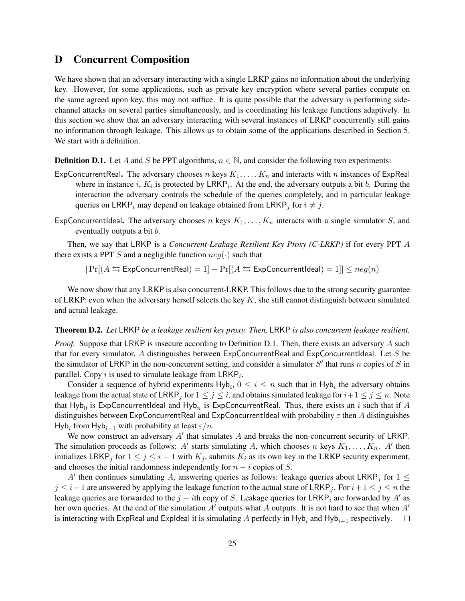# D Concurrent Composition

We have shown that an adversary interacting with a single LRKP gains no information about the underlying key. However, for some applications, such as private key encryption where several parties compute on the same agreed upon key, this may not suffice. It is quite possible that the adversary is performing sidechannel attacks on several parties simultaneously, and is coordinating his leakage functions adaptively. In this section we show that an adversary interacting with several instances of LRKP concurrently still gains no information through leakage. This allows us to obtain some of the applications described in [Section 5.](#page-12-0) We start with a definition.

<span id="page-24-0"></span>**Definition D.1.** Let A and S be PPT algorithms,  $n \in \mathbb{N}$ , and consider the following two experiments:

- ExpConcurrentReal. The adversary chooses n keys  $K_1, \ldots, K_n$  and interacts with n instances of ExpReal where in instance i,  $K_i$  is protected by LRKP<sub>i</sub>. At the end, the adversary outputs a bit b. During the interaction the adversary controls the schedule of the queries completely, and in particular leakage queries on LRKP<sub>i</sub> may depend on leakage obtained from LRKP<sub>i</sub> for  $i \neq j$ .
- ExpConcurrentIdeal. The adversary chooses n keys  $K_1, \ldots, K_n$  interacts with a single simulator S, and eventually outputs a bit b.

Then, we say that LRKP is a *Concurrent-Leakage Resilient Key Proxy (C-LRKP)* if for every PPT A there exists a PPT S and a negligible function  $neg(\cdot)$  such that

 $|\Pr[(A \leq E\times p\text{ConcurrentReal}) = 1] - \Pr[(A \leq E\times p\text{ConcurrentIdeal}) = 1]| \leq neg(n)$ 

We now show that any LRKP is also concurrent-LRKP. This follows due to the strong security guarantee of LRKP: even when the adversary herself selects the key  $K$ , she still cannot distinguish between simulated and actual leakage.

### <span id="page-24-1"></span>Theorem D.2. *Let* LRKP *be a leakage resilient key proxy. Then,* LRKP *is also concurrent leakage resilient.*

*Proof.* Suppose that LRKP is insecure according to [Definition D.1.](#page-24-0) Then, there exists an adversary A such that for every simulator,  $A$  distinguishes between ExpConcurrentReal and ExpConcurrentIdeal. Let  $S$  be the simulator of LRKP in the non-concurrent setting, and consider a simulator  $S'$  that runs n copies of  $S$  in parallel. Copy i is used to simulate leakage from  $\text{LRKP}_i$ .

Consider a sequence of hybrid experiments  $Hyb_i$ ,  $0 \le i \le n$  such that in  $Hyb_i$  the adversary obtains leakage from the actual state of LRKP<sub>j</sub> for  $1 \le j \le i$ , and obtains simulated leakage for  $i+1 \le j \le n$ . Note that Hyb $_0$  is ExpConcurrentIdeal and Hyb $_n$  is ExpConcurrentReal. Thus, there exists an  $i$  such that if  $A$ distinguishes between ExpConcurrentReal and ExpConcurrentIdeal with probability  $\varepsilon$  then A distinguishes Hyb<sub>i</sub> from Hyb<sub>i+1</sub> with probability at least  $\varepsilon/n$ .

We now construct an adversary  $A'$  that simulates  $A$  and breaks the non-concurrent security of LRKP. The simulation proceeds as follows: A' starts simulating A, which chooses n keys  $K_1, \ldots, K_n$ . A' then initializes LRKP<sub>j</sub> for  $1 \le j \le i - 1$  with  $K_j$ , submits  $K_i$  as its own key in the LRKP security experiment, and chooses the initial randomness independently for  $n - i$  copies of S.

A' then continues simulating A, answering queries as follows: leakage queries about LRKP<sub>j</sub> for  $1 \leq$  $j \leq i-1$  are answered by applying the leakage function to the actual state of LRKP<sub>j</sub>. For  $i+1 \leq j \leq n$  the leakage queries are forwarded to the  $j - i$ th copy of S. Leakage queries for LRKP<sub>i</sub> are forwarded by A' as her own queries. At the end of the simulation  $A'$  outputs what A outputs. It is not hard to see that when  $A'$ is interacting with ExpReal and ExpIdeal it is simulating  $A$  perfectly in Hyb<sub>i</sub> and Hyb<sub>i+1</sub> respectively.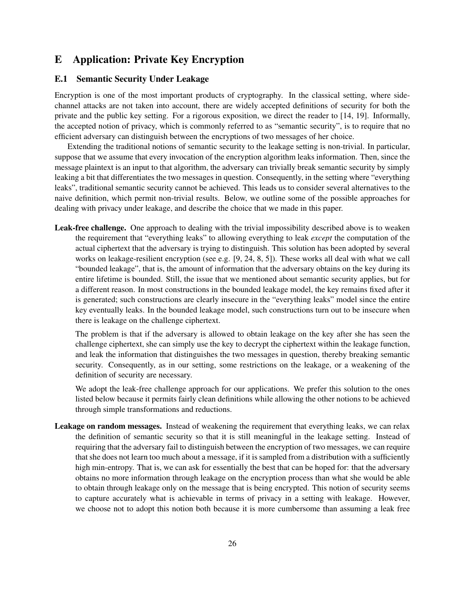## <span id="page-25-0"></span>E Application: Private Key Encryption

### E.1 Semantic Security Under Leakage

Encryption is one of the most important products of cryptography. In the classical setting, where sidechannel attacks are not taken into account, there are widely accepted definitions of security for both the private and the public key setting. For a rigorous exposition, we direct the reader to [\[14,](#page-13-12) [19\]](#page-14-9). Informally, the accepted notion of privacy, which is commonly referred to as "semantic security", is to require that no efficient adversary can distinguish between the encryptions of two messages of her choice.

Extending the traditional notions of semantic security to the leakage setting is non-trivial. In particular, suppose that we assume that every invocation of the encryption algorithm leaks information. Then, since the message plaintext is an input to that algorithm, the adversary can trivially break semantic security by simply leaking a bit that differentiates the two messages in question. Consequently, in the setting where "everything leaks", traditional semantic security cannot be achieved. This leads us to consider several alternatives to the naive definition, which permit non-trivial results. Below, we outline some of the possible approaches for dealing with privacy under leakage, and describe the choice that we made in this paper.

Leak-free challenge. One approach to dealing with the trivial impossibility described above is to weaken the requirement that "everything leaks" to allowing everything to leak *except* the computation of the actual ciphertext that the adversary is trying to distinguish. This solution has been adopted by several works on leakage-resilient encryption (see e.g. [\[9,](#page-13-1) [24,](#page-14-7) [8,](#page-13-10) [5\]](#page-13-13)). These works all deal with what we call "bounded leakage", that is, the amount of information that the adversary obtains on the key during its entire lifetime is bounded. Still, the issue that we mentioned about semantic security applies, but for a different reason. In most constructions in the bounded leakage model, the key remains fixed after it is generated; such constructions are clearly insecure in the "everything leaks" model since the entire key eventually leaks. In the bounded leakage model, such constructions turn out to be insecure when there is leakage on the challenge ciphertext.

The problem is that if the adversary is allowed to obtain leakage on the key after she has seen the challenge ciphertext, she can simply use the key to decrypt the ciphertext within the leakage function, and leak the information that distinguishes the two messages in question, thereby breaking semantic security. Consequently, as in our setting, some restrictions on the leakage, or a weakening of the definition of security are necessary.

We adopt the leak-free challenge approach for our applications. We prefer this solution to the ones listed below because it permits fairly clean definitions while allowing the other notions to be achieved through simple transformations and reductions.

Leakage on random messages. Instead of weakening the requirement that everything leaks, we can relax the definition of semantic security so that it is still meaningful in the leakage setting. Instead of requiring that the adversary fail to distinguish between the encryption of two messages, we can require that she does not learn too much about a message, if it is sampled from a distribution with a sufficiently high min-entropy. That is, we can ask for essentially the best that can be hoped for: that the adversary obtains no more information through leakage on the encryption process than what she would be able to obtain through leakage only on the message that is being encrypted. This notion of security seems to capture accurately what is achievable in terms of privacy in a setting with leakage. However, we choose not to adopt this notion both because it is more cumbersome than assuming a leak free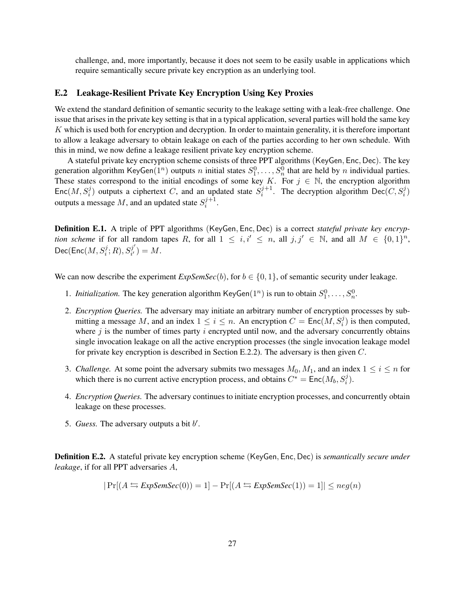challenge, and, more importantly, because it does not seem to be easily usable in applications which require semantically secure private key encryption as an underlying tool.

### E.2 Leakage-Resilient Private Key Encryption Using Key Proxies

We extend the standard definition of semantic security to the leakage setting with a leak-free challenge. One issue that arises in the private key setting is that in a typical application, several parties will hold the same key K which is used both for encryption and decryption. In order to maintain generality, it is therefore important to allow a leakage adversary to obtain leakage on each of the parties according to her own schedule. With this in mind, we now define a leakage resilient private key encryption scheme.

A stateful private key encryption scheme consists of three PPT algorithms (KeyGen, Enc, Dec). The key generation algorithm KeyGen $(1^n)$  outputs n initial states  $S_1^0, \ldots, S_n^0$  that are held by n individual parties. These states correspond to the initial encodings of some key K. For  $j \in \mathbb{N}$ , the encryption algorithm Enc $(M, S_i^j)$  outputs a ciphertext C, and an updated state  $S_i^{j+1}$  $i^{j+1}$ . The decryption algorithm  $\text{Dec}(C, S_i^j)$ outputs a message M, and an updated state  $S_i^{j+1}$  $i^{j+1}$ .

Definition E.1. A triple of PPT algorithms (KeyGen, Enc, Dec) is a correct *stateful private key encryption scheme* if for all random tapes R, for all  $1 \leq i, i' \leq n$ , all  $j, j' \in \mathbb{N}$ , and all  $M \in \{0, 1\}^n$ ,  $\mathsf{Dec}(\mathsf{Enc}(M, S_i^j; R), S_{i'}^{j'}$  $j_{i'}^{(j)}$ ) = M.

We can now describe the experiment  $ExpSemSec(b)$ , for  $b \in \{0, 1\}$ , of semantic security under leakage.

- 1. *Initialization*. The key generation algorithm KeyGen( $1^n$ ) is run to obtain  $S_1^0, \ldots, S_n^0$ .
- 2. *Encryption Queries.* The adversary may initiate an arbitrary number of encryption processes by submitting a message M, and an index  $1 \le i \le n$ . An encryption  $C = \text{Enc}(M, S_i^j)$  is then computed, where  $j$  is the number of times party  $i$  encrypted until now, and the adversary concurrently obtains single invocation leakage on all the active encryption processes (the single invocation leakage model for private key encryption is described in [Section E.2.2\)](#page-27-0). The adversary is then given C.
- 3. *Challenge.* At some point the adversary submits two messages  $M_0, M_1$ , and an index  $1 \le i \le n$  for which there is no current active encryption process, and obtains  $C^* = \text{Enc}(M_b, S_i^j)$ .
- 4. *Encryption Queries.* The adversary continues to initiate encryption processes, and concurrently obtain leakage on these processes.
- 5. Guess. The adversary outputs a bit  $b'$ .

Definition E.2. A stateful private key encryption scheme (KeyGen, Enc, Dec) is *semantically secure under leakage*, if for all PPT adversaries A,

$$
|\Pr[(A \leq \textit{ExpSemSec}(0)) = 1] - \Pr[(A \leq \textit{ExpSemSec}(1)) = 1]| \leq neg(n)
$$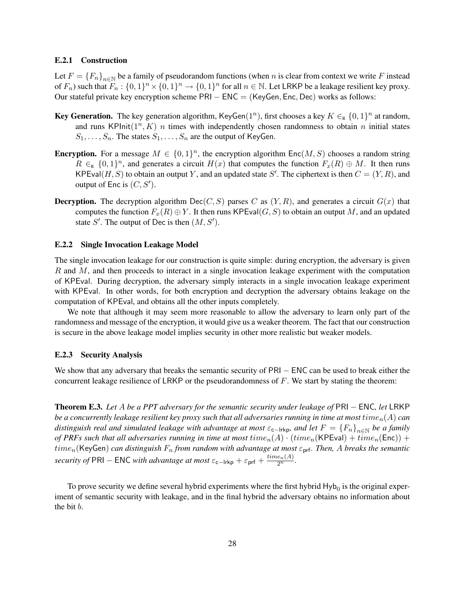#### E.2.1 Construction

Let  $F = \{F_n\}_{n \in \mathbb{N}}$  be a family of pseudorandom functions (when n is clear from context we write F instead of  $F_n$ ) such that  $F_n: \{0,1\}^n \times \{0,1\}^n \to \{0,1\}^n$  for all  $n \in \mathbb{N}$ . Let LRKP be a leakage resilient key proxy. Our stateful private key encryption scheme  $PRI - ENC = (KeyGen, Enc, Dec)$  works as follows:

- **Key Generation.** The key generation algorithm, KeyGen $(1^n)$ , first chooses a key  $K \in_R \{0,1\}^n$  at random, and runs KPInit $(1^n, K)$  *n* times with independently chosen randomness to obtain *n* initial states  $S_1, \ldots, S_n$ . The states  $S_1, \ldots, S_n$  are the output of KeyGen.
- **Encryption.** For a message  $M \in \{0,1\}^n$ , the encryption algorithm  $Enc(M, S)$  chooses a random string  $R \in_{\mathbb{R}} \{0,1\}^n$ , and generates a circuit  $H(x)$  that computes the function  $F_x(R) \oplus M$ . It then runs KPEval $(H, S)$  to obtain an output Y, and an updated state S'. The ciphertext is then  $C = (Y, R)$ , and output of Enc is  $(C, S')$ .
- **Decryption.** The decryption algorithm  $\text{Dec}(C, S)$  parses C as  $(Y, R)$ , and generates a circuit  $G(x)$  that computes the function  $F_x(R) \oplus Y$ . It then runs KPEval(G, S) to obtain an output M, and an updated state  $S'$ . The output of Dec is then  $(M, S')$ .

#### <span id="page-27-0"></span>E.2.2 Single Invocation Leakage Model

The single invocation leakage for our construction is quite simple: during encryption, the adversary is given  $R$  and  $M$ , and then proceeds to interact in a single invocation leakage experiment with the computation of KPEval. During decryption, the adversary simply interacts in a single invocation leakage experiment with KPEval. In other words, for both encryption and decryption the adversary obtains leakage on the computation of KPEval, and obtains all the other inputs completely.

We note that although it may seem more reasonable to allow the adversary to learn only part of the randomness and message of the encryption, it would give us a weaker theorem. The fact that our construction is secure in the above leakage model implies security in other more realistic but weaker models.

### E.2.3 Security Analysis

We show that any adversary that breaks the semantic security of PRI − ENC can be used to break either the concurrent leakage resilience of LRKP or the pseudorandomness of  $F$ . We start by stating the theorem:

Theorem E.3. *Let* A *be a PPT adversary for the semantic security under leakage of* PRI − ENC*, let* LRKP *be a concurrently leakage resilient key proxy such that all adversaries running in time at most time<sub>n</sub>(A) can* distinguish real and simulated leakage with advantage at most  $\varepsilon$ <sub>c−lrkp</sub>, and let  $F = \{F_n\}_{n\in\mathbb{N}}$  be a family *of PRFs such that all adversaries running in time at most time<sub>n</sub>*( $A$ )  $\cdot$  (*time<sub>n</sub>*(KPEval) + *time<sub>n</sub>*(Enc)) +  $time_n$ (KeyGen) *can distinguish*  $F_n$  *from random with advantage at most*  $\varepsilon_{\text{prf}}$ *. Then, A breaks the semantic security of* PRI – ENC *with advantage at most*  $\varepsilon_{\text{c-Irkp}} + \varepsilon_{\text{prf}} + \frac{time_n(A)}{2^n}$ .

To prove security we define several hybrid experiments where the first hybrid  $Hyb<sub>0</sub>$  is the original experiment of semantic security with leakage, and in the final hybrid the adversary obtains no information about the bit b.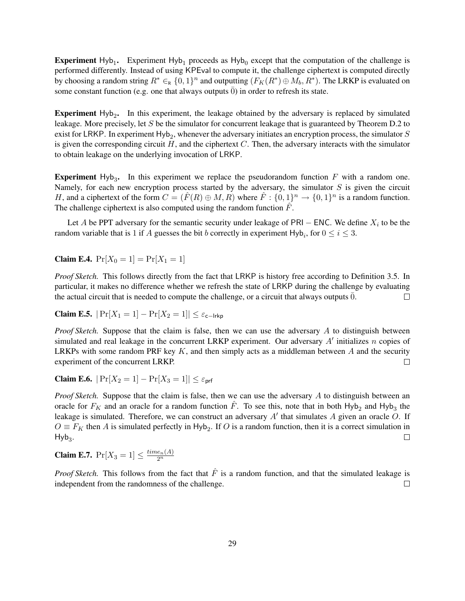**Experiment** Hyb<sub>1</sub>. Experiment Hyb<sub>1</sub> proceeds as Hyb<sub>0</sub> except that the computation of the challenge is performed differently. Instead of using KPEval to compute it, the challenge ciphertext is computed directly by choosing a random string  $R^* \in_R \{0,1\}^n$  and outputting  $(F_K(R^*) \oplus M_b, R^*)$ . The LRKP is evaluated on some constant function (e.g. one that always outputs  $\overline{0}$ ) in order to refresh its state.

**Experiment**  $Hyb<sub>2</sub>$ . In this experiment, the leakage obtained by the adversary is replaced by simulated leakage. More precisely, let  $S$  be the simulator for concurrent leakage that is guaranteed by [Theorem D.2](#page-24-1) to exist for LRKP. In experiment  $Hyb_2$ , whenever the adversary initiates an encryption process, the simulator  $S$ is given the corresponding circuit  $H$ , and the ciphertext  $C$ . Then, the adversary interacts with the simulator to obtain leakage on the underlying invocation of LRKP.

**Experiment** Hyb<sub>3</sub>. In this experiment we replace the pseudorandom function  $F$  with a random one. Namely, for each new encryption process started by the adversary, the simulator  $S$  is given the circuit H, and a ciphertext of the form  $C = (\hat{F}(R) \oplus M, R)$  where  $\hat{F} : \{0,1\}^n \to \{0,1\}^n$  is a random function. The challenge ciphertext is also computed using the random function  $\ddot{F}$ .

Let A be PPT adversary for the semantic security under leakage of PRI – ENC. We define  $X_i$  to be the random variable that is 1 if A guesses the bit b correctly in experiment  $Hyb_i$ , for  $0 \le i \le 3$ .

**Claim E.4.**  $Pr[X_0 = 1] = Pr[X_1 = 1]$ 

*Proof Sketch.* This follows directly from the fact that LRKP is history free according to [Definition 3.5.](#page-10-1) In particular, it makes no difference whether we refresh the state of LRKP during the challenge by evaluating the actual circuit that is needed to compute the challenge, or a circuit that always outputs  $\overline{0}$ .  $\Box$ 

Claim E.5.  $|\Pr[X_1 = 1] - \Pr[X_2 = 1]| \leq \varepsilon_{\text{c-Irko}}$ 

*Proof Sketch.* Suppose that the claim is false, then we can use the adversary A to distinguish between simulated and real leakage in the concurrent LRKP experiment. Our adversary  $A'$  initializes n copies of LRKPs with some random PRF key K, and then simply acts as a middleman between A and the security experiment of the concurrent LRKP.  $\Box$ 

Claim E.6.  $|\Pr[X_2 = 1] - \Pr[X_3 = 1]| \leq \varepsilon_{\text{prf}}$ 

*Proof Sketch.* Suppose that the claim is false, then we can use the adversary A to distinguish between an oracle for  $F_K$  and an oracle for a random function  $\hat{F}$ . To see this, note that in both Hyb<sub>2</sub> and Hyb<sub>3</sub> the leakage is simulated. Therefore, we can construct an adversary  $A'$  that simulates  $A$  given an oracle  $O$ . If  $O \equiv F_K$  then A is simulated perfectly in Hyb<sub>2</sub>. If O is a random function, then it is a correct simulation in  $Hyb_3.$  $\Box$ 

**Claim E.7.**  $Pr[X_3 = 1] \le \frac{time_n(A)}{2^n}$  $\overline{2^n}$ 

*Proof Sketch.* This follows from the fact that  $\hat{F}$  is a random function, and that the simulated leakage is independent from the randomness of the challenge.  $\Box$